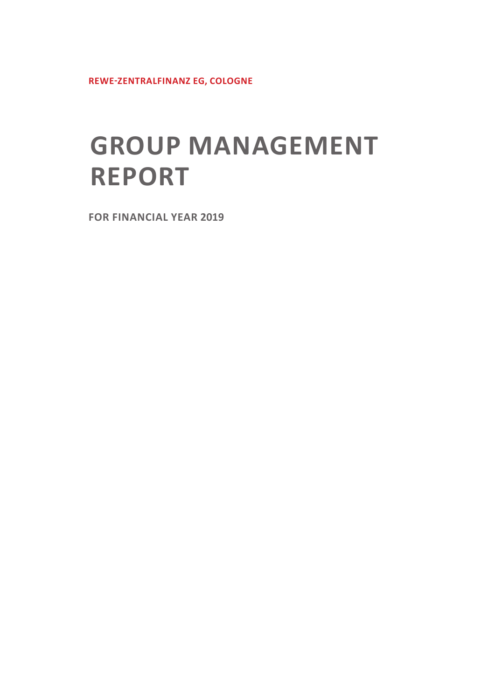**REWE-ZENTRALFINANZ EG, COLOGNE**

# **GROUP MANAGEMENT REPORT**

**FOR FINANCIAL YEAR 2019**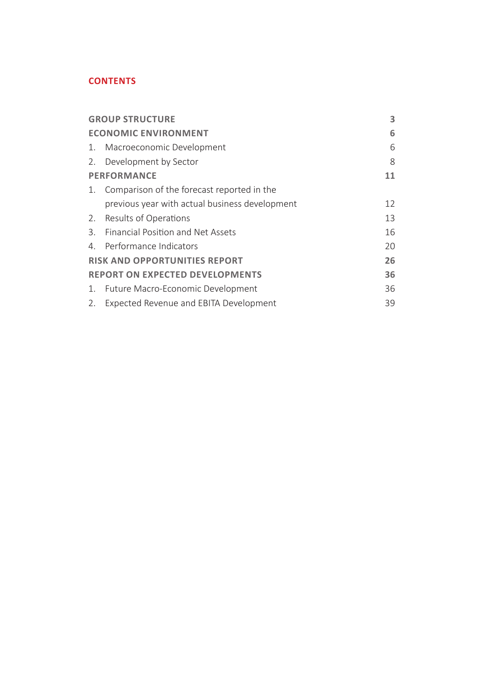#### **CONTENTS**

|    | <b>GROUP STRUCTURE</b>                         | 3  |
|----|------------------------------------------------|----|
|    | <b>ECONOMIC ENVIRONMENT</b>                    | 6  |
| 1. | Macroeconomic Development                      | 6  |
| 2. | Development by Sector                          | 8  |
|    | <b>PERFORMANCE</b>                             | 11 |
| 1. | Comparison of the forecast reported in the     |    |
|    | previous year with actual business development | 12 |
| 2. | Results of Operations                          | 13 |
| 3. | Financial Position and Net Assets              | 16 |
| 4. | Performance Indicators                         | 20 |
|    | <b>RISK AND OPPORTUNITIES REPORT</b>           | 26 |
|    | <b>REPORT ON EXPECTED DEVELOPMENTS</b>         | 36 |
| 1. | Future Macro-Economic Development              | 36 |
| 2. | Expected Revenue and EBITA Development         | 39 |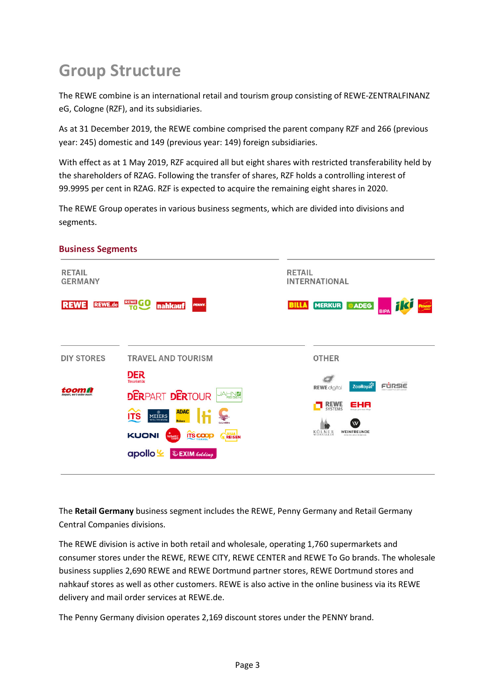# **Group Structure**

The REWE combine is an international retail and tourism group consisting of REWE-ZENTRALFINANZ eG, Cologne (RZF), and its subsidiaries.

As at 31 December 2019, the REWE combine comprised the parent company RZF and 266 (previous year: 245) domestic and 149 (previous year: 149) foreign subsidiaries.

With effect as at 1 May 2019, RZF acquired all but eight shares with restricted transferability held by the shareholders of RZAG. Following the transfer of shares, RZF holds a controlling interest of 99.9995 per cent in RZAG. RZF is expected to acquire the remaining eight shares in 2020.

The REWE Group operates in various business segments, which are divided into divisions and segments.



#### **Business Segments**

The **Retail Germany** business segment includes the REWE, Penny Germany and Retail Germany Central Companies divisions.

The REWE division is active in both retail and wholesale, operating 1,760 supermarkets and consumer stores under the REWE, REWE CITY, REWE CENTER and REWE To Go brands. The wholesale business supplies 2,690 REWE and REWE Dortmund partner stores, REWE Dortmund stores and nahkauf stores as well as other customers. REWE is also active in the online business via its REWE delivery and mail order services at REWE.de.

The Penny Germany division operates 2,169 discount stores under the PENNY brand.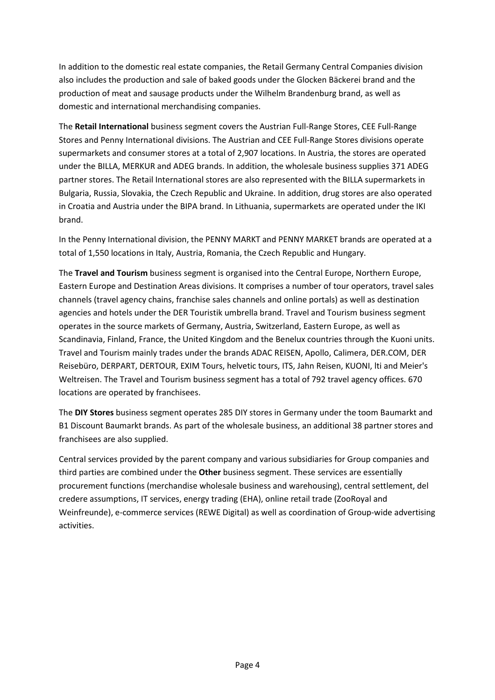In addition to the domestic real estate companies, the Retail Germany Central Companies division also includes the production and sale of baked goods under the Glocken Bäckerei brand and the production of meat and sausage products under the Wilhelm Brandenburg brand, as well as domestic and international merchandising companies.

The **Retail International** business segment covers the Austrian Full-Range Stores, CEE Full-Range Stores and Penny International divisions. The Austrian and CEE Full-Range Stores divisions operate supermarkets and consumer stores at a total of 2,907 locations. In Austria, the stores are operated under the BILLA, MERKUR and ADEG brands. In addition, the wholesale business supplies 371 ADEG partner stores. The Retail International stores are also represented with the BILLA supermarkets in Bulgaria, Russia, Slovakia, the Czech Republic and Ukraine. In addition, drug stores are also operated in Croatia and Austria under the BIPA brand. In Lithuania, supermarkets are operated under the IKI brand.

In the Penny International division, the PENNY MARKT and PENNY MARKET brands are operated at a total of 1,550 locations in Italy, Austria, Romania, the Czech Republic and Hungary.

The **Travel and Tourism** business segment is organised into the Central Europe, Northern Europe, Eastern Europe and Destination Areas divisions. It comprises a number of tour operators, travel sales channels (travel agency chains, franchise sales channels and online portals) as well as destination agencies and hotels under the DER Touristik umbrella brand. Travel and Tourism business segment operates in the source markets of Germany, Austria, Switzerland, Eastern Europe, as well as Scandinavia, Finland, France, the United Kingdom and the Benelux countries through the Kuoni units. Travel and Tourism mainly trades under the brands ADAC REISEN, Apollo, Calimera, DER.COM, DER Reisebüro, DERPART, DERTOUR, EXIM Tours, helvetic tours, ITS, Jahn Reisen, KUONI, lti and Meier's Weltreisen. The Travel and Tourism business segment has a total of 792 travel agency offices. 670 locations are operated by franchisees.

The **DIY Stores** business segment operates 285 DIY stores in Germany under the toom Baumarkt and B1 Discount Baumarkt brands. As part of the wholesale business, an additional 38 partner stores and franchisees are also supplied.

Central services provided by the parent company and various subsidiaries for Group companies and third parties are combined under the **Other** business segment. These services are essentially procurement functions (merchandise wholesale business and warehousing), central settlement, del credere assumptions, IT services, energy trading (EHA), online retail trade (ZooRoyal and Weinfreunde), e-commerce services (REWE Digital) as well as coordination of Group-wide advertising activities.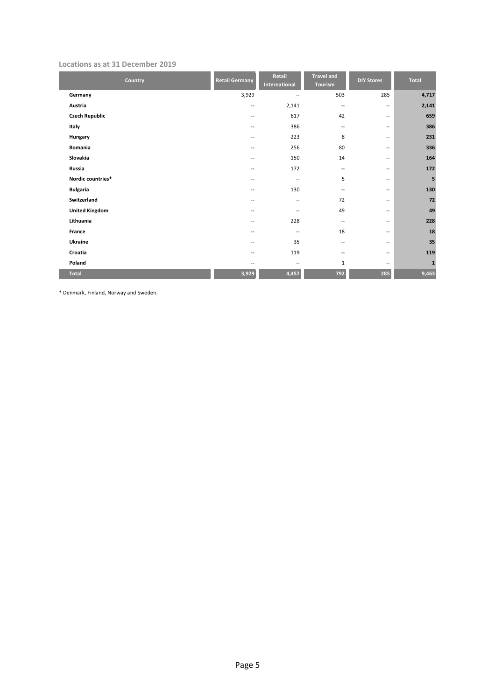#### **Locations as at 31 December 2019**

| Country               | <b>Retail Germany</b>    | Retail<br>International  | <b>Travel and</b><br>Tourism | <b>DIY Stores</b>           | Total        |
|-----------------------|--------------------------|--------------------------|------------------------------|-----------------------------|--------------|
| Germany               | 3,929                    | $\overline{\phantom{a}}$ | 503                          | 285                         | 4,717        |
| Austria               | --                       | 2,141                    | $\sim$                       | $\overline{\phantom{a}}$    | 2,141        |
| <b>Czech Republic</b> | $\overline{\phantom{a}}$ | 617                      | 42                           | $\overline{\phantom{a}}$    | 659          |
| Italy                 | $-$                      | 386                      | $\overline{\phantom{m}}$     | $\overline{\phantom{a}}$    | 386          |
| Hungary               | $-$                      | 223                      | 8                            | $-$                         | 231          |
| Romania               | --                       | 256                      | 80                           | $\overline{\phantom{a}}$    | 336          |
| Slovakia              | --                       | 150                      | 14                           | $\overline{\phantom{a}}$    | 164          |
| Russia                | $-$                      | 172                      | $\overline{\phantom{a}}$     | $\overline{\phantom{a}}$    | 172          |
| Nordic countries*     | $-$                      | $\overline{\phantom{a}}$ | 5                            | $\overline{\phantom{a}}$    | 5            |
| <b>Bulgaria</b>       | $-$                      | 130                      | $-$                          | $\overline{\phantom{a}}$    | 130          |
| Switzerland           | --                       | $\overline{\phantom{m}}$ | 72                           | $\mathcal{L}_{\mathcal{L}}$ | 72           |
| <b>United Kingdom</b> | --                       | $\overline{\phantom{a}}$ | 49                           | $\overline{\phantom{a}}$    | 49           |
| Lithuania             | $-$                      | 228                      | $\overline{\phantom{m}}$     | $-$                         | 228          |
| France                | $-$                      | $\overline{\phantom{a}}$ | 18                           | $-$                         | 18           |
| Ukraine               | $-$                      | 35                       | $-$                          | $\overline{\phantom{a}}$    | 35           |
| Croatia               | $-$                      | 119                      | $\overline{\phantom{m}}$     | $\mathcal{L}_{\mathcal{L}}$ | 119          |
| Poland                | $-$                      | $\overline{\phantom{a}}$ | $\mathbf{1}$                 | $\overline{\phantom{a}}$    | $\mathbf{1}$ |
| <b>Total</b>          | 3,929                    | 4,457                    | 792                          | 285                         | 9,463        |

\* Denmark, Finland, Norway and Sweden.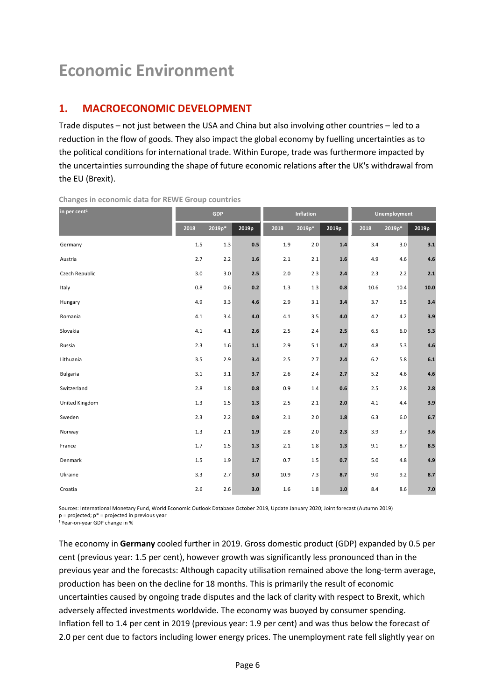# **Economic Environment**

## **1. MACROECONOMIC DEVELOPMENT**

Trade disputes – not just between the USA and China but also involving other countries – led to a reduction in the flow of goods. They also impact the global economy by fuelling uncertainties as to the political conditions for international trade. Within Europe, trade was furthermore impacted by the uncertainties surrounding the shape of future economic relations after the UK's withdrawal from the EU (Brexit).

| in per cent <sup>1</sup> | <b>GDP</b> |         | <b>Inflation</b> |         |          | Unemployment |       |         |       |
|--------------------------|------------|---------|------------------|---------|----------|--------------|-------|---------|-------|
|                          | 2018       | 2019p*  | 2019p            | 2018    | $2019p*$ | 2019p        | 2018  | 2019p*  | 2019p |
| Germany                  | 1.5        | 1.3     | 0.5              | 1.9     | 2.0      | 1.4          | 3.4   | 3.0     | 3.1   |
| Austria                  | 2.7        | 2.2     | $1.6\,$          | 2.1     | 2.1      | $1.6\,$      | 4.9   | 4.6     | 4.6   |
| Czech Republic           | 3.0        | 3.0     | 2.5              | 2.0     | 2.3      | 2.4          | 2.3   | 2.2     | 2.1   |
| Italy                    | 0.8        | 0.6     | 0.2              | 1.3     | 1.3      | 0.8          | 10.6  | 10.4    | 10.0  |
| Hungary                  | 4.9        | 3.3     | 4.6              | 2.9     | 3.1      | 3.4          | 3.7   | 3.5     | 3.4   |
| Romania                  | 4.1        | 3.4     | $4.0\,$          | 4.1     | 3.5      | 4.0          | 4.2   | 4.2     | 3.9   |
| Slovakia                 | 4.1        | 4.1     | 2.6              | 2.5     | 2.4      | 2.5          | 6.5   | $6.0\,$ | 5.3   |
| Russia                   | 2.3        | 1.6     | $1.1\,$          | 2.9     | 5.1      | 4.7          | 4.8   | 5.3     | 4.6   |
| Lithuania                | 3.5        | 2.9     | 3.4              | 2.5     | 2.7      | 2.4          | $6.2$ | 5.8     | 6.1   |
| <b>Bulgaria</b>          | 3.1        | 3.1     | 3.7              | 2.6     | 2.4      | 2.7          | 5.2   | 4.6     | 4.6   |
| Switzerland              | 2.8        | 1.8     | 0.8              | 0.9     | 1.4      | 0.6          | 2.5   | 2.8     | 2.8   |
| United Kingdom           | 1.3        | $1.5\,$ | $1.3\,$          | 2.5     | 2.1      | $2.0$        | 4.1   | 4.4     | 3.9   |
| Sweden                   | 2.3        | 2.2     | 0.9              | 2.1     | 2.0      | 1.8          | 6.3   | $6.0\,$ | 6.7   |
| Norway                   | $1.3$      | 2.1     | 1.9              | $2.8\,$ | 2.0      | 2.3          | 3.9   | 3.7     | 3.6   |
| France                   | 1.7        | 1.5     | $1.3\,$          | 2.1     | 1.8      | 1.3          | 9.1   | 8.7     | 8.5   |
| Denmark                  | $1.5\,$    | 1.9     | $1.7\,$          | 0.7     | 1.5      | 0.7          | 5.0   | 4.8     | 4.9   |
| Ukraine                  | 3.3        | 2.7     | 3.0              | 10.9    | 7.3      | 8.7          | 9.0   | 9.2     | 8.7   |
| Croatia                  | 2.6        | 2.6     | 3.0              | 1.6     | 1.8      | $1.0\,$      | 8.4   | 8.6     | 7.0   |

**Changes in economic data for REWE Group countries** 

Sources: International Monetary Fund, World Economic Outlook Database October 2019, Update January 2020; Joint forecast (Autumn 2019)  $p =$  projected;  $p^* =$  projected in previous year

<sup>1</sup> Year-on-year GDP change in %

The economy in **Germany** cooled further in 2019. Gross domestic product (GDP) expanded by 0.5 per cent (previous year: 1.5 per cent), however growth was significantly less pronounced than in the previous year and the forecasts: Although capacity utilisation remained above the long-term average, production has been on the decline for 18 months. This is primarily the result of economic uncertainties caused by ongoing trade disputes and the lack of clarity with respect to Brexit, which adversely affected investments worldwide. The economy was buoyed by consumer spending. Inflation fell to 1.4 per cent in 2019 (previous year: 1.9 per cent) and was thus below the forecast of 2.0 per cent due to factors including lower energy prices. The unemployment rate fell slightly year on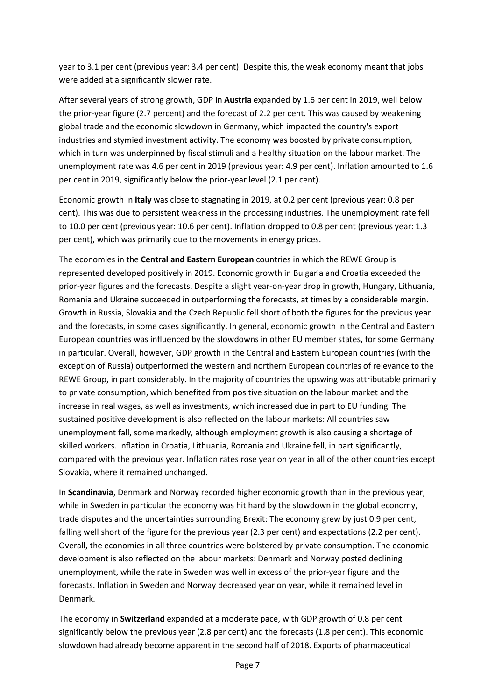year to 3.1 per cent (previous year: 3.4 per cent). Despite this, the weak economy meant that jobs were added at a significantly slower rate.

After several years of strong growth, GDP in **Austria** expanded by 1.6 per cent in 2019, well below the prior-year figure (2.7 percent) and the forecast of 2.2 per cent. This was caused by weakening global trade and the economic slowdown in Germany, which impacted the country's export industries and stymied investment activity. The economy was boosted by private consumption, which in turn was underpinned by fiscal stimuli and a healthy situation on the labour market. The unemployment rate was 4.6 per cent in 2019 (previous year: 4.9 per cent). Inflation amounted to 1.6 per cent in 2019, significantly below the prior-year level (2.1 per cent).

Economic growth in **Italy** was close to stagnating in 2019, at 0.2 per cent (previous year: 0.8 per cent). This was due to persistent weakness in the processing industries. The unemployment rate fell to 10.0 per cent (previous year: 10.6 per cent). Inflation dropped to 0.8 per cent (previous year: 1.3 per cent), which was primarily due to the movements in energy prices.

The economies in the **Central and Eastern European** countries in which the REWE Group is represented developed positively in 2019. Economic growth in Bulgaria and Croatia exceeded the prior-year figures and the forecasts. Despite a slight year-on-year drop in growth, Hungary, Lithuania, Romania and Ukraine succeeded in outperforming the forecasts, at times by a considerable margin. Growth in Russia, Slovakia and the Czech Republic fell short of both the figures for the previous year and the forecasts, in some cases significantly. In general, economic growth in the Central and Eastern European countries was influenced by the slowdowns in other EU member states, for some Germany in particular. Overall, however, GDP growth in the Central and Eastern European countries (with the exception of Russia) outperformed the western and northern European countries of relevance to the REWE Group, in part considerably. In the majority of countries the upswing was attributable primarily to private consumption, which benefited from positive situation on the labour market and the increase in real wages, as well as investments, which increased due in part to EU funding. The sustained positive development is also reflected on the labour markets: All countries saw unemployment fall, some markedly, although employment growth is also causing a shortage of skilled workers. Inflation in Croatia, Lithuania, Romania and Ukraine fell, in part significantly, compared with the previous year. Inflation rates rose year on year in all of the other countries except Slovakia, where it remained unchanged.

In **Scandinavia**, Denmark and Norway recorded higher economic growth than in the previous year, while in Sweden in particular the economy was hit hard by the slowdown in the global economy, trade disputes and the uncertainties surrounding Brexit: The economy grew by just 0.9 per cent, falling well short of the figure for the previous year (2.3 per cent) and expectations (2.2 per cent). Overall, the economies in all three countries were bolstered by private consumption. The economic development is also reflected on the labour markets: Denmark and Norway posted declining unemployment, while the rate in Sweden was well in excess of the prior-year figure and the forecasts. Inflation in Sweden and Norway decreased year on year, while it remained level in Denmark.

The economy in **Switzerland** expanded at a moderate pace, with GDP growth of 0.8 per cent significantly below the previous year (2.8 per cent) and the forecasts (1.8 per cent). This economic slowdown had already become apparent in the second half of 2018. Exports of pharmaceutical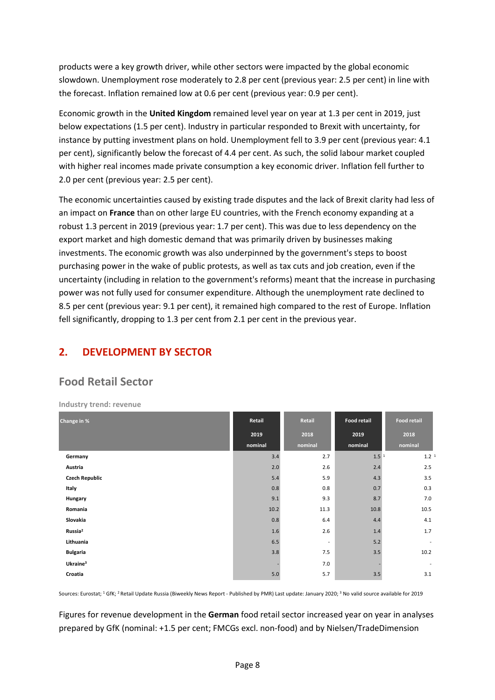products were a key growth driver, while other sectors were impacted by the global economic slowdown. Unemployment rose moderately to 2.8 per cent (previous year: 2.5 per cent) in line with the forecast. Inflation remained low at 0.6 per cent (previous year: 0.9 per cent).

Economic growth in the **United Kingdom** remained level year on year at 1.3 per cent in 2019, just below expectations (1.5 per cent). Industry in particular responded to Brexit with uncertainty, for instance by putting investment plans on hold. Unemployment fell to 3.9 per cent (previous year: 4.1 per cent), significantly below the forecast of 4.4 per cent. As such, the solid labour market coupled with higher real incomes made private consumption a key economic driver. Inflation fell further to 2.0 per cent (previous year: 2.5 per cent).

The economic uncertainties caused by existing trade disputes and the lack of Brexit clarity had less of an impact on **France** than on other large EU countries, with the French economy expanding at a robust 1.3 percent in 2019 (previous year: 1.7 per cent). This was due to less dependency on the export market and high domestic demand that was primarily driven by businesses making investments. The economic growth was also underpinned by the government's steps to boost purchasing power in the wake of public protests, as well as tax cuts and job creation, even if the uncertainty (including in relation to the government's reforms) meant that the increase in purchasing power was not fully used for consumer expenditure. Although the unemployment rate declined to 8.5 per cent (previous year: 9.1 per cent), it remained high compared to the rest of Europe. Inflation fell significantly, dropping to 1.3 per cent from 2.1 per cent in the previous year.

# **2. DEVELOPMENT BY SECTOR**

# **Food Retail Sector**

**Industry trend: revenue** 

| Change in %           | Retail  | Retail                   | Food retail      | <b>Food retail</b> |  |
|-----------------------|---------|--------------------------|------------------|--------------------|--|
|                       | 2019    | 2018                     | 2019             | 2018               |  |
|                       | nominal | nominal                  | nominal          | nominal            |  |
| Germany               | 3.4     | 2.7                      | 1.5 <sup>1</sup> | 1.2 <sup>1</sup>   |  |
| Austria               | 2.0     | 2.6                      | 2.4              | 2.5                |  |
| <b>Czech Republic</b> | 5.4     | 5.9                      | 4.3              | 3.5                |  |
| Italy                 | 0.8     | 0.8                      | 0.7              | 0.3                |  |
| Hungary               | 9.1     | 9.3                      | 8.7              | 7.0                |  |
| Romania               | 10.2    | 11.3                     | 10.8             | 10.5               |  |
| Slovakia              | 0.8     | 6.4                      | 4.4              | 4.1                |  |
| Russia <sup>2</sup>   | 1.6     | 2.6                      | 1.4              | 1.7                |  |
| Lithuania             | 6.5     | $\overline{\phantom{a}}$ | 5.2              |                    |  |
| <b>Bulgaria</b>       | 3.8     | 7.5                      | 3.5              | 10.2               |  |
| Ukraine <sup>3</sup>  |         | 7.0                      |                  | $\sim$             |  |
| Croatia               | $5.0$   | 5.7                      | 3.5              | 3.1                |  |

Sources: Eurostat: <sup>1</sup> GfK: <sup>2</sup> Retail Update Russia (Biweekly News Report - Published by PMR) Last update: January 2020: <sup>3</sup> No valid source available for 2019

Figures for revenue development in the **German** food retail sector increased year on year in analyses prepared by GfK (nominal: +1.5 per cent; FMCGs excl. non-food) and by Nielsen/TradeDimension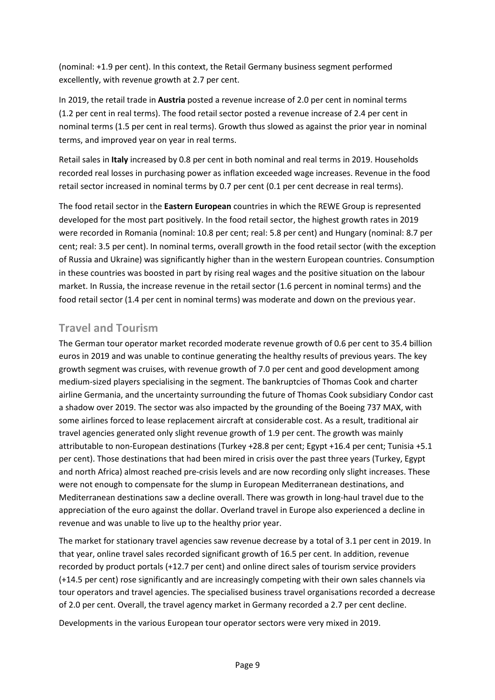(nominal: +1.9 per cent). In this context, the Retail Germany business segment performed excellently, with revenue growth at 2.7 per cent.

In 2019, the retail trade in **Austria** posted a revenue increase of 2.0 per cent in nominal terms (1.2 per cent in real terms). The food retail sector posted a revenue increase of 2.4 per cent in nominal terms (1.5 per cent in real terms). Growth thus slowed as against the prior year in nominal terms, and improved year on year in real terms.

Retail sales in **Italy** increased by 0.8 per cent in both nominal and real terms in 2019. Households recorded real losses in purchasing power as inflation exceeded wage increases. Revenue in the food retail sector increased in nominal terms by 0.7 per cent (0.1 per cent decrease in real terms).

The food retail sector in the **Eastern European** countries in which the REWE Group is represented developed for the most part positively. In the food retail sector, the highest growth rates in 2019 were recorded in Romania (nominal: 10.8 per cent; real: 5.8 per cent) and Hungary (nominal: 8.7 per cent; real: 3.5 per cent). In nominal terms, overall growth in the food retail sector (with the exception of Russia and Ukraine) was significantly higher than in the western European countries. Consumption in these countries was boosted in part by rising real wages and the positive situation on the labour market. In Russia, the increase revenue in the retail sector (1.6 percent in nominal terms) and the food retail sector (1.4 per cent in nominal terms) was moderate and down on the previous year.

# **Travel and Tourism**

The German tour operator market recorded moderate revenue growth of 0.6 per cent to 35.4 billion euros in 2019 and was unable to continue generating the healthy results of previous years. The key growth segment was cruises, with revenue growth of 7.0 per cent and good development among medium-sized players specialising in the segment. The bankruptcies of Thomas Cook and charter airline Germania, and the uncertainty surrounding the future of Thomas Cook subsidiary Condor cast a shadow over 2019. The sector was also impacted by the grounding of the Boeing 737 MAX, with some airlines forced to lease replacement aircraft at considerable cost. As a result, traditional air travel agencies generated only slight revenue growth of 1.9 per cent. The growth was mainly attributable to non-European destinations (Turkey +28.8 per cent; Egypt +16.4 per cent; Tunisia +5.1 per cent). Those destinations that had been mired in crisis over the past three years (Turkey, Egypt and north Africa) almost reached pre-crisis levels and are now recording only slight increases. These were not enough to compensate for the slump in European Mediterranean destinations, and Mediterranean destinations saw a decline overall. There was growth in long-haul travel due to the appreciation of the euro against the dollar. Overland travel in Europe also experienced a decline in revenue and was unable to live up to the healthy prior year.

The market for stationary travel agencies saw revenue decrease by a total of 3.1 per cent in 2019. In that year, online travel sales recorded significant growth of 16.5 per cent. In addition, revenue recorded by product portals (+12.7 per cent) and online direct sales of tourism service providers (+14.5 per cent) rose significantly and are increasingly competing with their own sales channels via tour operators and travel agencies. The specialised business travel organisations recorded a decrease of 2.0 per cent. Overall, the travel agency market in Germany recorded a 2.7 per cent decline.

Developments in the various European tour operator sectors were very mixed in 2019.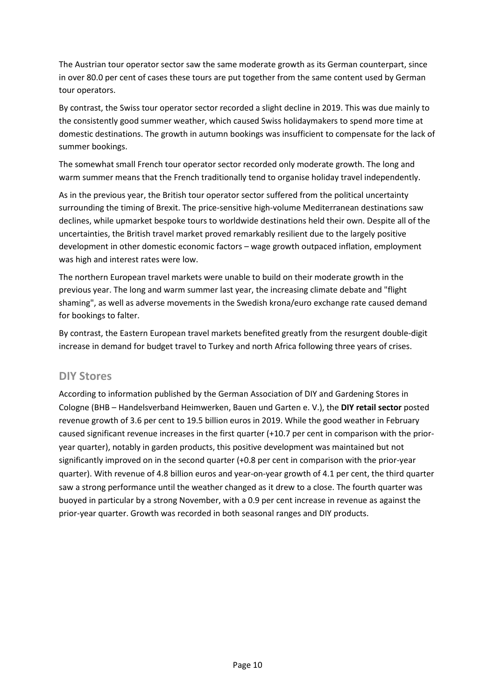The Austrian tour operator sector saw the same moderate growth as its German counterpart, since in over 80.0 per cent of cases these tours are put together from the same content used by German tour operators.

By contrast, the Swiss tour operator sector recorded a slight decline in 2019. This was due mainly to the consistently good summer weather, which caused Swiss holidaymakers to spend more time at domestic destinations. The growth in autumn bookings was insufficient to compensate for the lack of summer bookings.

The somewhat small French tour operator sector recorded only moderate growth. The long and warm summer means that the French traditionally tend to organise holiday travel independently.

As in the previous year, the British tour operator sector suffered from the political uncertainty surrounding the timing of Brexit. The price-sensitive high-volume Mediterranean destinations saw declines, while upmarket bespoke tours to worldwide destinations held their own. Despite all of the uncertainties, the British travel market proved remarkably resilient due to the largely positive development in other domestic economic factors – wage growth outpaced inflation, employment was high and interest rates were low.

The northern European travel markets were unable to build on their moderate growth in the previous year. The long and warm summer last year, the increasing climate debate and "flight shaming", as well as adverse movements in the Swedish krona/euro exchange rate caused demand for bookings to falter.

By contrast, the Eastern European travel markets benefited greatly from the resurgent double-digit increase in demand for budget travel to Turkey and north Africa following three years of crises.

#### **DIY Stores**

According to information published by the German Association of DIY and Gardening Stores in Cologne (BHB – Handelsverband Heimwerken, Bauen und Garten e. V.), the **DIY retail sector** posted revenue growth of 3.6 per cent to 19.5 billion euros in 2019. While the good weather in February caused significant revenue increases in the first quarter (+10.7 per cent in comparison with the prioryear quarter), notably in garden products, this positive development was maintained but not significantly improved on in the second quarter (+0.8 per cent in comparison with the prior-year quarter). With revenue of 4.8 billion euros and year-on-year growth of 4.1 per cent, the third quarter saw a strong performance until the weather changed as it drew to a close. The fourth quarter was buoyed in particular by a strong November, with a 0.9 per cent increase in revenue as against the prior-year quarter. Growth was recorded in both seasonal ranges and DIY products.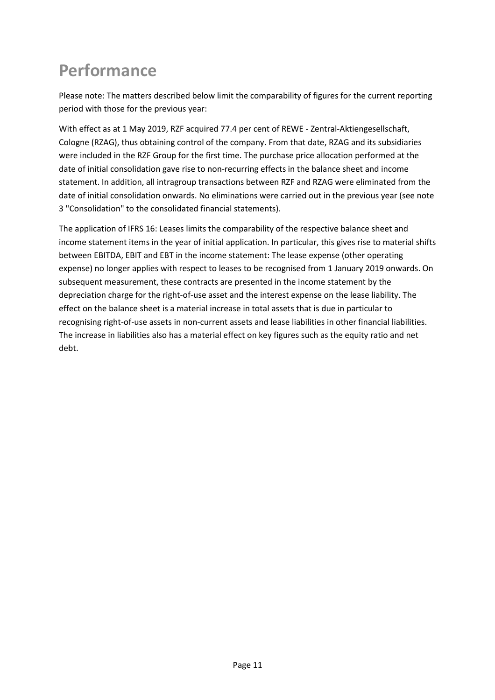# **Performance**

Please note: The matters described below limit the comparability of figures for the current reporting period with those for the previous year:

With effect as at 1 May 2019, RZF acquired 77.4 per cent of REWE - Zentral-Aktiengesellschaft, Cologne (RZAG), thus obtaining control of the company. From that date, RZAG and its subsidiaries were included in the RZF Group for the first time. The purchase price allocation performed at the date of initial consolidation gave rise to non-recurring effects in the balance sheet and income statement. In addition, all intragroup transactions between RZF and RZAG were eliminated from the date of initial consolidation onwards. No eliminations were carried out in the previous year (see note 3 "Consolidation" to the consolidated financial statements).

The application of IFRS 16: Leases limits the comparability of the respective balance sheet and income statement items in the year of initial application. In particular, this gives rise to material shifts between EBITDA, EBIT and EBT in the income statement: The lease expense (other operating expense) no longer applies with respect to leases to be recognised from 1 January 2019 onwards. On subsequent measurement, these contracts are presented in the income statement by the depreciation charge for the right-of-use asset and the interest expense on the lease liability. The effect on the balance sheet is a material increase in total assets that is due in particular to recognising right-of-use assets in non-current assets and lease liabilities in other financial liabilities. The increase in liabilities also has a material effect on key figures such as the equity ratio and net debt.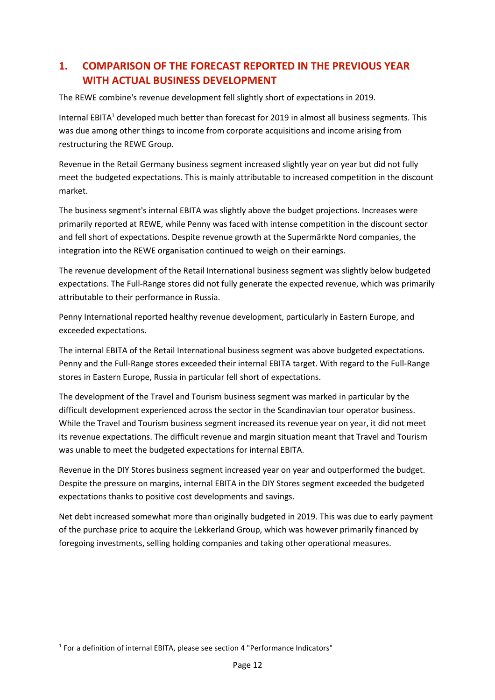# **1. COMPARISON OF THE FORECAST REPORTED IN THE PREVIOUS YEAR WITH ACTUAL BUSINESS DEVELOPMENT**

The REWE combine's revenue development fell slightly short of expectations in 2019.

Internal EBITA<sup>1</sup> developed much better than forecast for 2019 in almost all business segments. This was due among other things to income from corporate acquisitions and income arising from restructuring the REWE Group.

Revenue in the Retail Germany business segment increased slightly year on year but did not fully meet the budgeted expectations. This is mainly attributable to increased competition in the discount market.

The business segment's internal EBITA was slightly above the budget projections. Increases were primarily reported at REWE, while Penny was faced with intense competition in the discount sector and fell short of expectations. Despite revenue growth at the Supermärkte Nord companies, the integration into the REWE organisation continued to weigh on their earnings.

The revenue development of the Retail International business segment was slightly below budgeted expectations. The Full-Range stores did not fully generate the expected revenue, which was primarily attributable to their performance in Russia.

Penny International reported healthy revenue development, particularly in Eastern Europe, and exceeded expectations.

The internal EBITA of the Retail International business segment was above budgeted expectations. Penny and the Full-Range stores exceeded their internal EBITA target. With regard to the Full-Range stores in Eastern Europe, Russia in particular fell short of expectations.

The development of the Travel and Tourism business segment was marked in particular by the difficult development experienced across the sector in the Scandinavian tour operator business. While the Travel and Tourism business segment increased its revenue year on year, it did not meet its revenue expectations. The difficult revenue and margin situation meant that Travel and Tourism was unable to meet the budgeted expectations for internal EBITA.

Revenue in the DIY Stores business segment increased year on year and outperformed the budget. Despite the pressure on margins, internal EBITA in the DIY Stores segment exceeded the budgeted expectations thanks to positive cost developments and savings.

Net debt increased somewhat more than originally budgeted in 2019. This was due to early payment of the purchase price to acquire the Lekkerland Group, which was however primarily financed by foregoing investments, selling holding companies and taking other operational measures.

<sup>1</sup> For a definition of internal EBITA, please see section 4 "Performance Indicators"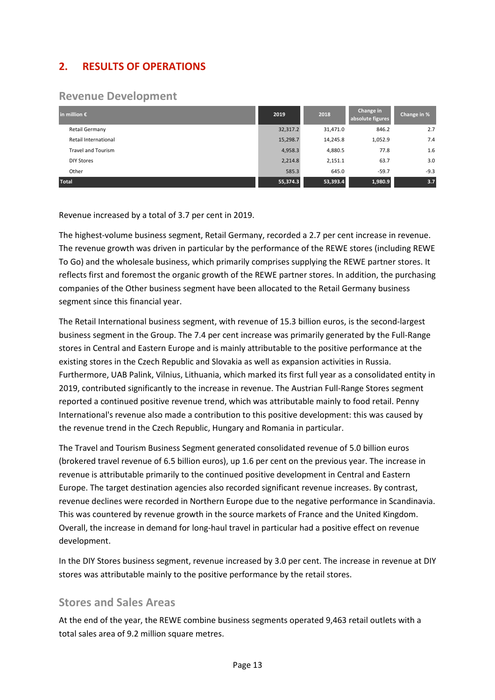# **2. RESULTS OF OPERATIONS**

# **Revenue Development**

| in million $\epsilon$     | 2019     | 2018     | Change in<br>absolute figures | Change in % |
|---------------------------|----------|----------|-------------------------------|-------------|
| Retail Germany            | 32,317.2 | 31,471.0 | 846.2                         | 2.7         |
| Retail International      | 15,298.7 | 14,245.8 | 1,052.9                       | 7.4         |
| <b>Travel and Tourism</b> | 4,958.3  | 4,880.5  | 77.8                          | 1.6         |
| <b>DIY Stores</b>         | 2,214.8  | 2,151.1  | 63.7                          | 3.0         |
| Other                     | 585.3    | 645.0    | $-59.7$                       | $-9.3$      |
| <b>Total</b>              | 55,374.3 | 53,393.4 | 1,980.9                       | 3.7         |

Revenue increased by a total of 3.7 per cent in 2019.

The highest-volume business segment, Retail Germany, recorded a 2.7 per cent increase in revenue. The revenue growth was driven in particular by the performance of the REWE stores (including REWE To Go) and the wholesale business, which primarily comprises supplying the REWE partner stores. It reflects first and foremost the organic growth of the REWE partner stores. In addition, the purchasing companies of the Other business segment have been allocated to the Retail Germany business segment since this financial year.

The Retail International business segment, with revenue of 15.3 billion euros, is the second-largest business segment in the Group. The 7.4 per cent increase was primarily generated by the Full-Range stores in Central and Eastern Europe and is mainly attributable to the positive performance at the existing stores in the Czech Republic and Slovakia as well as expansion activities in Russia. Furthermore, UAB Palink, Vilnius, Lithuania, which marked its first full year as a consolidated entity in 2019, contributed significantly to the increase in revenue. The Austrian Full-Range Stores segment reported a continued positive revenue trend, which was attributable mainly to food retail. Penny International's revenue also made a contribution to this positive development: this was caused by the revenue trend in the Czech Republic, Hungary and Romania in particular.

The Travel and Tourism Business Segment generated consolidated revenue of 5.0 billion euros (brokered travel revenue of 6.5 billion euros), up 1.6 per cent on the previous year. The increase in revenue is attributable primarily to the continued positive development in Central and Eastern Europe. The target destination agencies also recorded significant revenue increases. By contrast, revenue declines were recorded in Northern Europe due to the negative performance in Scandinavia. This was countered by revenue growth in the source markets of France and the United Kingdom. Overall, the increase in demand for long-haul travel in particular had a positive effect on revenue development.

In the DIY Stores business segment, revenue increased by 3.0 per cent. The increase in revenue at DIY stores was attributable mainly to the positive performance by the retail stores.

### **Stores and Sales Areas**

At the end of the year, the REWE combine business segments operated 9,463 retail outlets with a total sales area of 9.2 million square metres.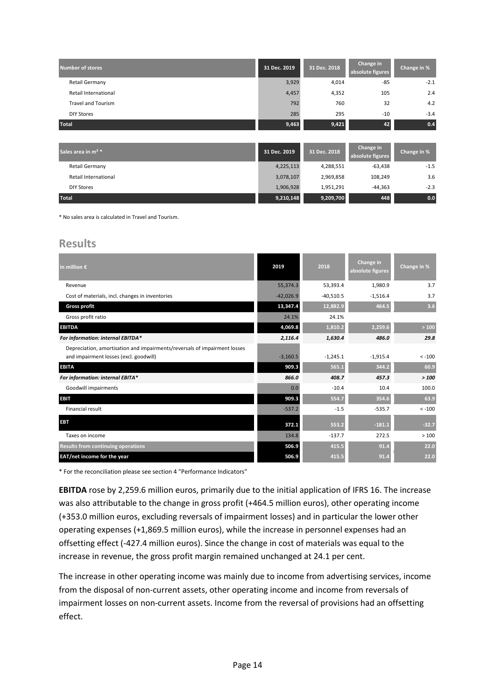| Number of stores          | 31 Dec. 2019 | 31 Dec. 2018 | Change in<br>absolute figures | Change in % |
|---------------------------|--------------|--------------|-------------------------------|-------------|
| <b>Retail Germany</b>     | 3,929        | 4,014        | $-85$                         | $-2.1$      |
| Retail International      | 4,457        | 4,352        | 105                           | 2.4         |
| <b>Travel and Tourism</b> | 792          | 760          | 32                            | 4.2         |
| <b>DIY Stores</b>         | 285          | 295          | $-10$                         | $-3.4$      |
| <b>Total</b>              | 9,463        | 9,421        | 42                            | 0.4         |

| Sales area in m <sup>2 *</sup> | 31 Dec. 2019 | 31 Dec. 2018 | Change in<br>absolute figures | Change in % |
|--------------------------------|--------------|--------------|-------------------------------|-------------|
| <b>Retail Germany</b>          | 4,225,113    | 4,288,551    | -63,438                       | $-1.5$      |
| Retail International           | 3,078,107    | 2,969,858    | 108.249                       | 3.6         |
| <b>DIY Stores</b>              | 1,906,928    | 1,951,291    | $-44.363$                     | $-2.3$      |
| <b>Total</b>                   | 9,210,148    | 9,209,700    | 448                           | 0.0         |

\* No sales area is calculated in Travel and Tourism.

#### **Results**

| in million $\epsilon$                                                                                               | 2019        | 2018        | Change in<br>absolute figures | Change in % |  |
|---------------------------------------------------------------------------------------------------------------------|-------------|-------------|-------------------------------|-------------|--|
| Revenue                                                                                                             | 55,374.3    | 53,393.4    | 1,980.9                       | 3.7         |  |
| Cost of materials, incl. changes in inventories                                                                     | $-42,026.9$ | $-40,510.5$ | $-1,516.4$                    | 3.7         |  |
| <b>Gross profit</b>                                                                                                 | 13,347.4    | 12,882.9    | 464.5                         | 3.6         |  |
| Gross profit ratio                                                                                                  | 24.1%       | 24.1%       |                               |             |  |
| <b>EBITDA</b>                                                                                                       | 4,069.8     | 1,810.2     | 2,259.6                       | $>100$      |  |
| For information: internal EBITDA*                                                                                   | 2,116.4     | 1,630.4     | 486.0                         | 29.8        |  |
| Depreciation, amortisation and impairments/reversals of impairment losses<br>and impairment losses (excl. goodwill) | $-3,160.5$  | $-1,245.1$  | $-1,915.4$                    | $< -100$    |  |
| <b>EBITA</b>                                                                                                        | 909.3       | 565.1       | 344.2                         | 60.9        |  |
| For information: internal EBITA*                                                                                    | 866.0       | 408.7       | 457.3                         | >100        |  |
| Goodwill impairments                                                                                                | 0.0         | $-10.4$     | 10.4                          | 100.0       |  |
| <b>EBIT</b>                                                                                                         | 909.3       | 554.7       | 354.6                         | 63.9        |  |
| <b>Financial result</b>                                                                                             | $-537.2$    | $-1.5$      | $-535.7$                      | $< -100$    |  |
| <b>EBT</b>                                                                                                          | 372.1       | 553.2       | $-181.1$                      | $-32.7$     |  |
| Taxes on income                                                                                                     | 134.8       | $-137.7$    | 272.5                         | >100        |  |
| <b>Results from continuing operations</b>                                                                           | 506.9       | 415.5       | 91.4                          | 22.0        |  |
| EAT/net income for the year                                                                                         | 506.9       | 415.5       | 91.4                          | 22.0        |  |

\* For the reconciliation please see section 4 "Performance Indicators"

**EBITDA** rose by 2,259.6 million euros, primarily due to the initial application of IFRS 16. The increase was also attributable to the change in gross profit (+464.5 million euros), other operating income (+353.0 million euros, excluding reversals of impairment losses) and in particular the lower other operating expenses (+1,869.5 million euros), while the increase in personnel expenses had an offsetting effect (-427.4 million euros). Since the change in cost of materials was equal to the increase in revenue, the gross profit margin remained unchanged at 24.1 per cent.

The increase in other operating income was mainly due to income from advertising services, income from the disposal of non-current assets, other operating income and income from reversals of impairment losses on non-current assets. Income from the reversal of provisions had an offsetting effect.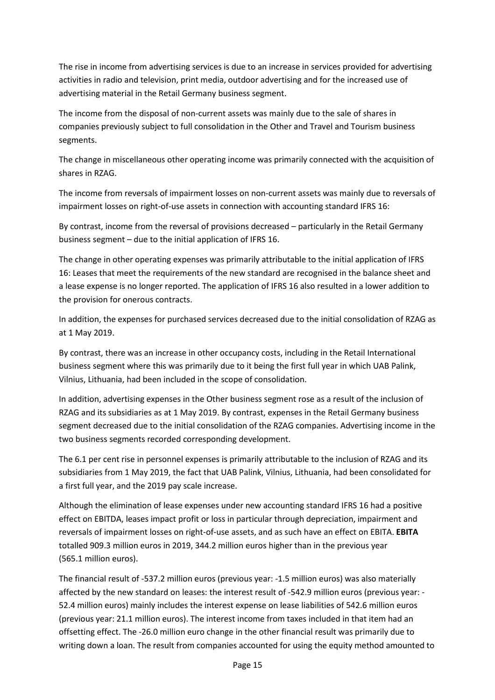The rise in income from advertising services is due to an increase in services provided for advertising activities in radio and television, print media, outdoor advertising and for the increased use of advertising material in the Retail Germany business segment.

The income from the disposal of non-current assets was mainly due to the sale of shares in companies previously subject to full consolidation in the Other and Travel and Tourism business segments.

The change in miscellaneous other operating income was primarily connected with the acquisition of shares in RZAG.

The income from reversals of impairment losses on non-current assets was mainly due to reversals of impairment losses on right-of-use assets in connection with accounting standard IFRS 16:

By contrast, income from the reversal of provisions decreased – particularly in the Retail Germany business segment – due to the initial application of IFRS 16.

The change in other operating expenses was primarily attributable to the initial application of IFRS 16: Leases that meet the requirements of the new standard are recognised in the balance sheet and a lease expense is no longer reported. The application of IFRS 16 also resulted in a lower addition to the provision for onerous contracts.

In addition, the expenses for purchased services decreased due to the initial consolidation of RZAG as at 1 May 2019.

By contrast, there was an increase in other occupancy costs, including in the Retail International business segment where this was primarily due to it being the first full year in which UAB Palink, Vilnius, Lithuania, had been included in the scope of consolidation.

In addition, advertising expenses in the Other business segment rose as a result of the inclusion of RZAG and its subsidiaries as at 1 May 2019. By contrast, expenses in the Retail Germany business segment decreased due to the initial consolidation of the RZAG companies. Advertising income in the two business segments recorded corresponding development.

The 6.1 per cent rise in personnel expenses is primarily attributable to the inclusion of RZAG and its subsidiaries from 1 May 2019, the fact that UAB Palink, Vilnius, Lithuania, had been consolidated for a first full year, and the 2019 pay scale increase.

Although the elimination of lease expenses under new accounting standard IFRS 16 had a positive effect on EBITDA, leases impact profit or loss in particular through depreciation, impairment and reversals of impairment losses on right-of-use assets, and as such have an effect on EBITA. **EBITA** totalled 909.3 million euros in 2019, 344.2 million euros higher than in the previous year (565.1 million euros).

The financial result of -537.2 million euros (previous year: -1.5 million euros) was also materially affected by the new standard on leases: the interest result of -542.9 million euros (previous year: - 52.4 million euros) mainly includes the interest expense on lease liabilities of 542.6 million euros (previous year: 21.1 million euros). The interest income from taxes included in that item had an offsetting effect. The -26.0 million euro change in the other financial result was primarily due to writing down a loan. The result from companies accounted for using the equity method amounted to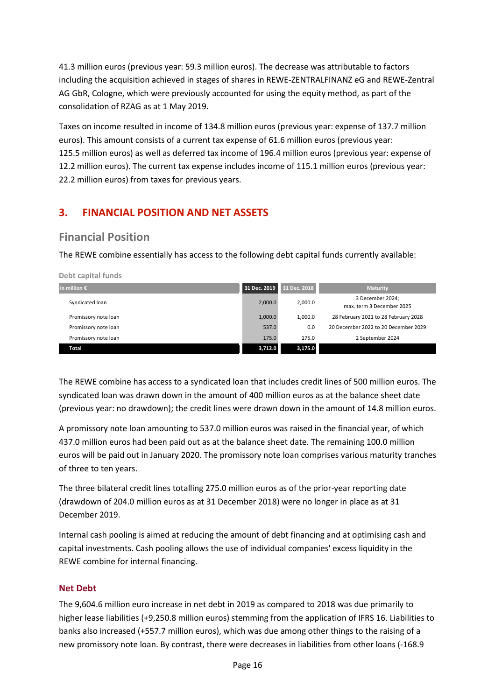41.3 million euros (previous year: 59.3 million euros). The decrease was attributable to factors including the acquisition achieved in stages of shares in REWE-ZENTRALFINANZ eG and REWE-Zentral AG GbR, Cologne, which were previously accounted for using the equity method, as part of the consolidation of RZAG as at 1 May 2019.

Taxes on income resulted in income of 134.8 million euros (previous year: expense of 137.7 million euros). This amount consists of a current tax expense of 61.6 million euros (previous year: 125.5 million euros) as well as deferred tax income of 196.4 million euros (previous year: expense of 12.2 million euros). The current tax expense includes income of 115.1 million euros (previous year: 22.2 million euros) from taxes for previous years.

# **3. FINANCIAL POSITION AND NET ASSETS**

# **Financial Position**

**Debt capital funds** 

The REWE combine essentially has access to the following debt capital funds currently available:

| 31 Dec. 2019<br>in million $\epsilon$ |         | 31 Dec. 2018 | <b>Maturity</b>                               |
|---------------------------------------|---------|--------------|-----------------------------------------------|
| Syndicated loan                       | 2,000.0 | 2,000.0      | 3 December 2024;<br>max. term 3 December 2025 |
| Promissory note loan                  | 1,000.0 | 1.000.0      | 28 February 2021 to 28 February 2028          |
| Promissory note loan                  | 537.0   | 0.0          | 20 December 2022 to 20 December 2029          |
| Promissory note loan                  | 175.0   | 175.0        | 2 September 2024                              |
| <b>Total</b>                          | 3,712.0 | 3,175.0      |                                               |

The REWE combine has access to a syndicated loan that includes credit lines of 500 million euros. The syndicated loan was drawn down in the amount of 400 million euros as at the balance sheet date (previous year: no drawdown); the credit lines were drawn down in the amount of 14.8 million euros.

A promissory note loan amounting to 537.0 million euros was raised in the financial year, of which 437.0 million euros had been paid out as at the balance sheet date. The remaining 100.0 million euros will be paid out in January 2020. The promissory note loan comprises various maturity tranches of three to ten years.

The three bilateral credit lines totalling 275.0 million euros as of the prior-year reporting date (drawdown of 204.0 million euros as at 31 December 2018) were no longer in place as at 31 December 2019.

Internal cash pooling is aimed at reducing the amount of debt financing and at optimising cash and capital investments. Cash pooling allows the use of individual companies' excess liquidity in the REWE combine for internal financing.

#### **Net Debt**

The 9,604.6 million euro increase in net debt in 2019 as compared to 2018 was due primarily to higher lease liabilities (+9,250.8 million euros) stemming from the application of IFRS 16. Liabilities to banks also increased (+557.7 million euros), which was due among other things to the raising of a new promissory note loan. By contrast, there were decreases in liabilities from other loans (-168.9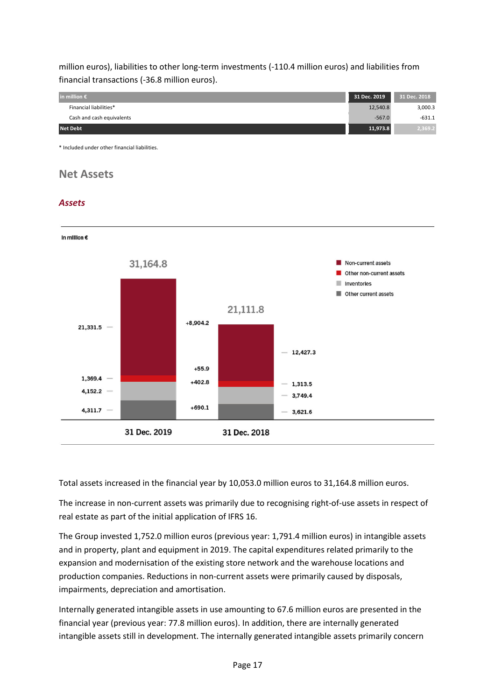million euros), liabilities to other long-term investments (-110.4 million euros) and liabilities from financial transactions (-36.8 million euros).



\* Included under other financial liabilities.

# **Net Assets**

#### *Assets*



Total assets increased in the financial year by 10,053.0 million euros to 31,164.8 million euros.

The increase in non-current assets was primarily due to recognising right-of-use assets in respect of real estate as part of the initial application of IFRS 16.

The Group invested 1,752.0 million euros (previous year: 1,791.4 million euros) in intangible assets and in property, plant and equipment in 2019. The capital expenditures related primarily to the expansion and modernisation of the existing store network and the warehouse locations and production companies. Reductions in non-current assets were primarily caused by disposals, impairments, depreciation and amortisation.

Internally generated intangible assets in use amounting to 67.6 million euros are presented in the financial year (previous year: 77.8 million euros). In addition, there are internally generated intangible assets still in development. The internally generated intangible assets primarily concern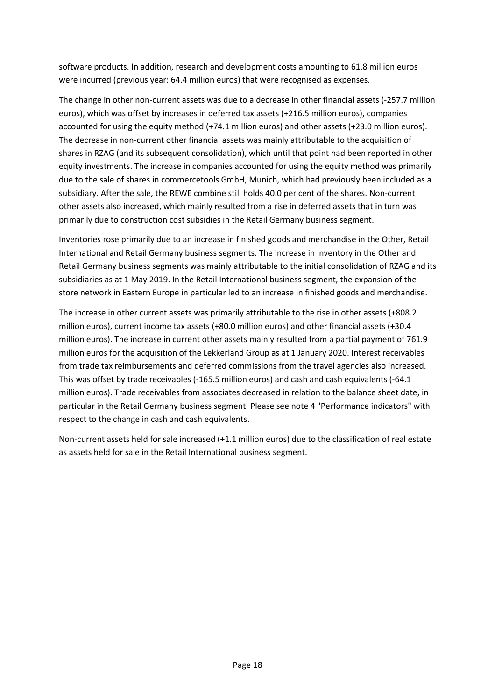software products. In addition, research and development costs amounting to 61.8 million euros were incurred (previous year: 64.4 million euros) that were recognised as expenses.

The change in other non-current assets was due to a decrease in other financial assets (-257.7 million euros), which was offset by increases in deferred tax assets (+216.5 million euros), companies accounted for using the equity method (+74.1 million euros) and other assets (+23.0 million euros). The decrease in non-current other financial assets was mainly attributable to the acquisition of shares in RZAG (and its subsequent consolidation), which until that point had been reported in other equity investments. The increase in companies accounted for using the equity method was primarily due to the sale of shares in commercetools GmbH, Munich, which had previously been included as a subsidiary. After the sale, the REWE combine still holds 40.0 per cent of the shares. Non-current other assets also increased, which mainly resulted from a rise in deferred assets that in turn was primarily due to construction cost subsidies in the Retail Germany business segment.

Inventories rose primarily due to an increase in finished goods and merchandise in the Other, Retail International and Retail Germany business segments. The increase in inventory in the Other and Retail Germany business segments was mainly attributable to the initial consolidation of RZAG and its subsidiaries as at 1 May 2019. In the Retail International business segment, the expansion of the store network in Eastern Europe in particular led to an increase in finished goods and merchandise.

The increase in other current assets was primarily attributable to the rise in other assets (+808.2 million euros), current income tax assets (+80.0 million euros) and other financial assets (+30.4 million euros). The increase in current other assets mainly resulted from a partial payment of 761.9 million euros for the acquisition of the Lekkerland Group as at 1 January 2020. Interest receivables from trade tax reimbursements and deferred commissions from the travel agencies also increased. This was offset by trade receivables (-165.5 million euros) and cash and cash equivalents (-64.1 million euros). Trade receivables from associates decreased in relation to the balance sheet date, in particular in the Retail Germany business segment. Please see note 4 "Performance indicators" with respect to the change in cash and cash equivalents.

Non-current assets held for sale increased (+1.1 million euros) due to the classification of real estate as assets held for sale in the Retail International business segment.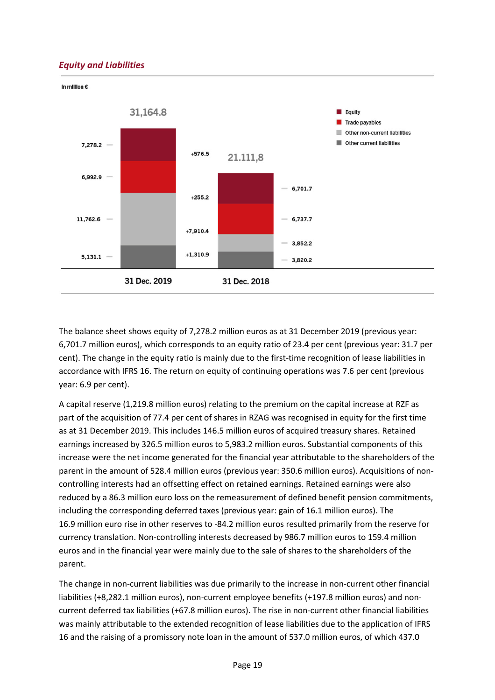#### *Equity and Liabilities*



The balance sheet shows equity of 7,278.2 million euros as at 31 December 2019 (previous year: 6,701.7 million euros), which corresponds to an equity ratio of 23.4 per cent (previous year: 31.7 per cent). The change in the equity ratio is mainly due to the first-time recognition of lease liabilities in accordance with IFRS 16. The return on equity of continuing operations was 7.6 per cent (previous year: 6.9 per cent).

A capital reserve (1,219.8 million euros) relating to the premium on the capital increase at RZF as part of the acquisition of 77.4 per cent of shares in RZAG was recognised in equity for the first time as at 31 December 2019. This includes 146.5 million euros of acquired treasury shares. Retained earnings increased by 326.5 million euros to 5,983.2 million euros. Substantial components of this increase were the net income generated for the financial year attributable to the shareholders of the parent in the amount of 528.4 million euros (previous year: 350.6 million euros). Acquisitions of noncontrolling interests had an offsetting effect on retained earnings. Retained earnings were also reduced by a 86.3 million euro loss on the remeasurement of defined benefit pension commitments, including the corresponding deferred taxes (previous year: gain of 16.1 million euros). The 16.9 million euro rise in other reserves to -84.2 million euros resulted primarily from the reserve for currency translation. Non-controlling interests decreased by 986.7 million euros to 159.4 million euros and in the financial year were mainly due to the sale of shares to the shareholders of the parent.

The change in non-current liabilities was due primarily to the increase in non-current other financial liabilities (+8,282.1 million euros), non-current employee benefits (+197.8 million euros) and noncurrent deferred tax liabilities (+67.8 million euros). The rise in non-current other financial liabilities was mainly attributable to the extended recognition of lease liabilities due to the application of IFRS 16 and the raising of a promissory note loan in the amount of 537.0 million euros, of which 437.0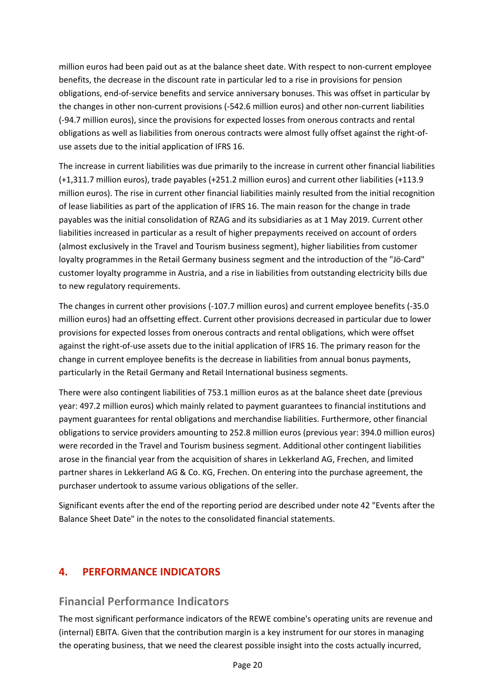million euros had been paid out as at the balance sheet date. With respect to non-current employee benefits, the decrease in the discount rate in particular led to a rise in provisions for pension obligations, end-of-service benefits and service anniversary bonuses. This was offset in particular by the changes in other non-current provisions (-542.6 million euros) and other non-current liabilities (-94.7 million euros), since the provisions for expected losses from onerous contracts and rental obligations as well as liabilities from onerous contracts were almost fully offset against the right-ofuse assets due to the initial application of IFRS 16.

The increase in current liabilities was due primarily to the increase in current other financial liabilities (+1,311.7 million euros), trade payables (+251.2 million euros) and current other liabilities (+113.9 million euros). The rise in current other financial liabilities mainly resulted from the initial recognition of lease liabilities as part of the application of IFRS 16. The main reason for the change in trade payables was the initial consolidation of RZAG and its subsidiaries as at 1 May 2019. Current other liabilities increased in particular as a result of higher prepayments received on account of orders (almost exclusively in the Travel and Tourism business segment), higher liabilities from customer loyalty programmes in the Retail Germany business segment and the introduction of the "Jö-Card" customer loyalty programme in Austria, and a rise in liabilities from outstanding electricity bills due to new regulatory requirements.

The changes in current other provisions (-107.7 million euros) and current employee benefits (-35.0 million euros) had an offsetting effect. Current other provisions decreased in particular due to lower provisions for expected losses from onerous contracts and rental obligations, which were offset against the right-of-use assets due to the initial application of IFRS 16. The primary reason for the change in current employee benefits is the decrease in liabilities from annual bonus payments, particularly in the Retail Germany and Retail International business segments.

There were also contingent liabilities of 753.1 million euros as at the balance sheet date (previous year: 497.2 million euros) which mainly related to payment guarantees to financial institutions and payment guarantees for rental obligations and merchandise liabilities. Furthermore, other financial obligations to service providers amounting to 252.8 million euros (previous year: 394.0 million euros) were recorded in the Travel and Tourism business segment. Additional other contingent liabilities arose in the financial year from the acquisition of shares in Lekkerland AG, Frechen, and limited partner shares in Lekkerland AG & Co. KG, Frechen. On entering into the purchase agreement, the purchaser undertook to assume various obligations of the seller.

Significant events after the end of the reporting period are described under note 42 "Events after the Balance Sheet Date" in the notes to the consolidated financial statements.

### **4. PERFORMANCE INDICATORS**

### **Financial Performance Indicators**

The most significant performance indicators of the REWE combine's operating units are revenue and (internal) EBITA. Given that the contribution margin is a key instrument for our stores in managing the operating business, that we need the clearest possible insight into the costs actually incurred,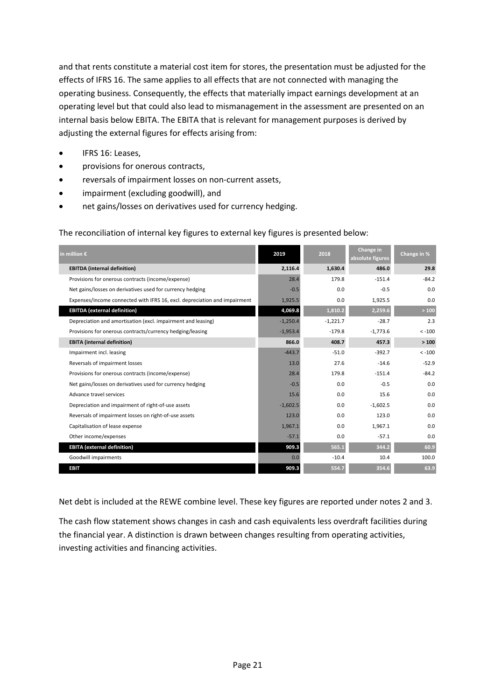and that rents constitute a material cost item for stores, the presentation must be adjusted for the effects of IFRS 16. The same applies to all effects that are not connected with managing the operating business. Consequently, the effects that materially impact earnings development at an operating level but that could also lead to mismanagement in the assessment are presented on an internal basis below EBITA. The EBITA that is relevant for management purposes is derived by adjusting the external figures for effects arising from:

- IFRS 16: Leases.
- provisions for onerous contracts,
- reversals of impairment losses on non-current assets,
- impairment (excluding goodwill), and
- net gains/losses on derivatives used for currency hedging.

The reconciliation of internal key figures to external key figures is presented below:

| in million $\epsilon$                                                     | 2019       | 2018       | Change in<br>absolute figures | Change in % |
|---------------------------------------------------------------------------|------------|------------|-------------------------------|-------------|
| <b>EBITDA</b> (internal definition)                                       | 2,116.4    | 1,630.4    | 486.0                         | 29.8        |
| Provisions for onerous contracts (income/expense)                         | 28.4       | 179.8      | $-151.4$                      | $-84.2$     |
| Net gains/losses on derivatives used for currency hedging                 | $-0.5$     | 0.0        | $-0.5$                        | 0.0         |
| Expenses/income connected with IFRS 16, excl. depreciation and impairment | 1,925.5    | 0.0        | 1,925.5                       | 0.0         |
| <b>EBITDA</b> (external definition)                                       | 4,069.8    | 1,810.2    | 2,259.6                       | >100        |
| Depreciation and amortisation (excl. impairment and leasing)              | $-1,250.4$ | $-1,221.7$ | $-28.7$                       | 2.3         |
| Provisions for onerous contracts/currency hedging/leasing                 | $-1,953.4$ | $-179.8$   | $-1,773.6$                    | $< -100$    |
| <b>EBITA</b> (internal definition)                                        | 866.0      | 408.7      | 457.3                         | >100        |
| Impairment incl. leasing                                                  | $-443.7$   | $-51.0$    | $-392.7$                      | $< -100$    |
| Reversals of impairment losses                                            | 13.0       | 27.6       | $-14.6$                       | $-52.9$     |
| Provisions for onerous contracts (income/expense)                         | 28.4       | 179.8      | $-151.4$                      | $-84.2$     |
| Net gains/losses on derivatives used for currency hedging                 | $-0.5$     | 0.0        | $-0.5$                        | 0.0         |
| Advance travel services                                                   | 15.6       | 0.0        | 15.6                          | 0.0         |
| Depreciation and impairment of right-of-use assets                        | $-1,602.5$ | 0.0        | $-1,602.5$                    | 0.0         |
| Reversals of impairment losses on right-of-use assets                     | 123.0      | 0.0        | 123.0                         | 0.0         |
| Capitalisation of lease expense                                           | 1,967.1    | 0.0        | 1,967.1                       | 0.0         |
| Other income/expenses                                                     | $-57.1$    | 0.0        | $-57.1$                       | 0.0         |
| <b>EBITA</b> (external definition)                                        | 909.3      | 565.1      | 344.2                         | 60.9        |
| Goodwill impairments                                                      | 0.0        | $-10.4$    | 10.4                          | 100.0       |
| <b>EBIT</b>                                                               | 909.3      | 554.7      | 354.6                         | 63.9        |

Net debt is included at the REWE combine level. These key figures are reported under notes 2 and 3.

The cash flow statement shows changes in cash and cash equivalents less overdraft facilities during the financial year. A distinction is drawn between changes resulting from operating activities, investing activities and financing activities.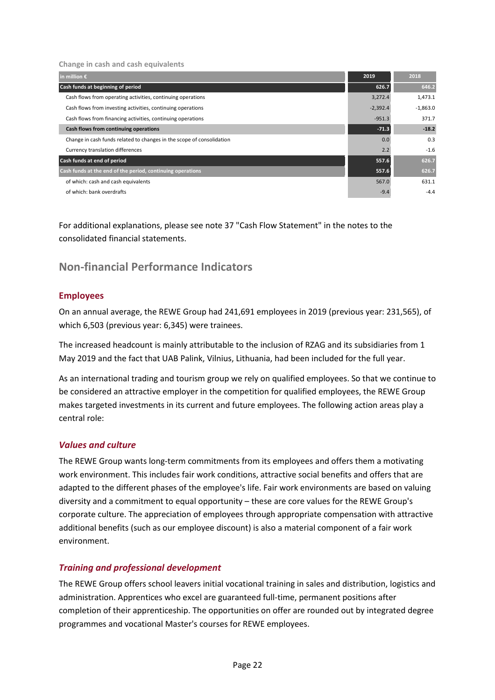**Change in cash and cash equivalents** 

| in million $\epsilon$                                                 | 2019       | 2018       |
|-----------------------------------------------------------------------|------------|------------|
| Cash funds at beginning of period                                     | 626.7      | 646.2      |
| Cash flows from operating activities, continuing operations           | 3,272.4    | 1,473.1    |
| Cash flows from investing activities, continuing operations           | $-2,392.4$ | $-1,863.0$ |
| Cash flows from financing activities, continuing operations           | $-951.3$   | 371.7      |
| Cash flows from continuing operations                                 | $-71.3$    | $-18.2$    |
| Change in cash funds related to changes in the scope of consolidation | 0.0        | 0.3        |
| Currency translation differences                                      | 2.2        | $-1.6$     |
| Cash funds at end of period                                           | 557.6      | 626.7      |
| Cash funds at the end of the period, continuing operations            | 557.6      | 626.7      |
| of which: cash and cash equivalents                                   | 567.0      | 631.1      |
| of which: bank overdrafts                                             | $-9.4$     | $-4.4$     |

For additional explanations, please see note 37 "Cash Flow Statement" in the notes to the consolidated financial statements.

# **Non-financial Performance Indicators**

#### **Employees**

On an annual average, the REWE Group had 241,691 employees in 2019 (previous year: 231,565), of which 6,503 (previous year: 6,345) were trainees.

The increased headcount is mainly attributable to the inclusion of RZAG and its subsidiaries from 1 May 2019 and the fact that UAB Palink, Vilnius, Lithuania, had been included for the full year.

As an international trading and tourism group we rely on qualified employees. So that we continue to be considered an attractive employer in the competition for qualified employees, the REWE Group makes targeted investments in its current and future employees. The following action areas play a central role:

#### *Values and culture*

The REWE Group wants long-term commitments from its employees and offers them a motivating work environment. This includes fair work conditions, attractive social benefits and offers that are adapted to the different phases of the employee's life. Fair work environments are based on valuing diversity and a commitment to equal opportunity – these are core values for the REWE Group's corporate culture. The appreciation of employees through appropriate compensation with attractive additional benefits (such as our employee discount) is also a material component of a fair work environment.

#### *Training and professional development*

The REWE Group offers school leavers initial vocational training in sales and distribution, logistics and administration. Apprentices who excel are guaranteed full-time, permanent positions after completion of their apprenticeship. The opportunities on offer are rounded out by integrated degree programmes and vocational Master's courses for REWE employees.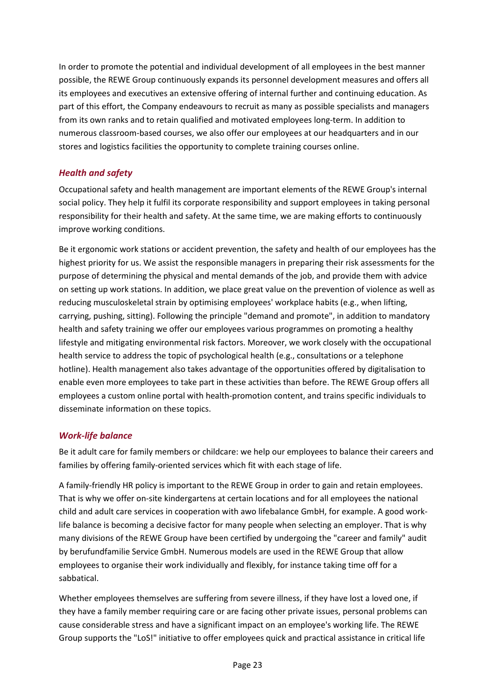In order to promote the potential and individual development of all employees in the best manner possible, the REWE Group continuously expands its personnel development measures and offers all its employees and executives an extensive offering of internal further and continuing education. As part of this effort, the Company endeavours to recruit as many as possible specialists and managers from its own ranks and to retain qualified and motivated employees long-term. In addition to numerous classroom-based courses, we also offer our employees at our headquarters and in our stores and logistics facilities the opportunity to complete training courses online.

#### *Health and safety*

Occupational safety and health management are important elements of the REWE Group's internal social policy. They help it fulfil its corporate responsibility and support employees in taking personal responsibility for their health and safety. At the same time, we are making efforts to continuously improve working conditions.

Be it ergonomic work stations or accident prevention, the safety and health of our employees has the highest priority for us. We assist the responsible managers in preparing their risk assessments for the purpose of determining the physical and mental demands of the job, and provide them with advice on setting up work stations. In addition, we place great value on the prevention of violence as well as reducing musculoskeletal strain by optimising employees' workplace habits (e.g., when lifting, carrying, pushing, sitting). Following the principle "demand and promote", in addition to mandatory health and safety training we offer our employees various programmes on promoting a healthy lifestyle and mitigating environmental risk factors. Moreover, we work closely with the occupational health service to address the topic of psychological health (e.g., consultations or a telephone hotline). Health management also takes advantage of the opportunities offered by digitalisation to enable even more employees to take part in these activities than before. The REWE Group offers all employees a custom online portal with health-promotion content, and trains specific individuals to disseminate information on these topics.

#### *Work-life balance*

Be it adult care for family members or childcare: we help our employees to balance their careers and families by offering family-oriented services which fit with each stage of life.

A family-friendly HR policy is important to the REWE Group in order to gain and retain employees. That is why we offer on-site kindergartens at certain locations and for all employees the national child and adult care services in cooperation with awo lifebalance GmbH, for example. A good worklife balance is becoming a decisive factor for many people when selecting an employer. That is why many divisions of the REWE Group have been certified by undergoing the "career and family" audit by berufundfamilie Service GmbH. Numerous models are used in the REWE Group that allow employees to organise their work individually and flexibly, for instance taking time off for a sabbatical.

Whether employees themselves are suffering from severe illness, if they have lost a loved one, if they have a family member requiring care or are facing other private issues, personal problems can cause considerable stress and have a significant impact on an employee's working life. The REWE Group supports the "LoS!" initiative to offer employees quick and practical assistance in critical life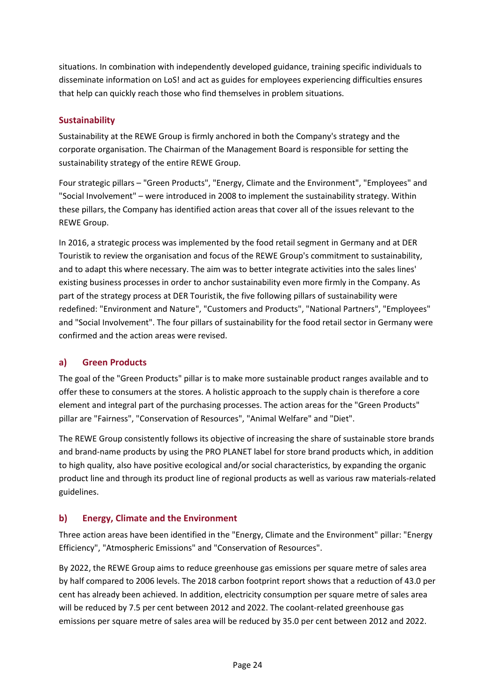situations. In combination with independently developed guidance, training specific individuals to disseminate information on LoS! and act as guides for employees experiencing difficulties ensures that help can quickly reach those who find themselves in problem situations.

#### **Sustainability**

Sustainability at the REWE Group is firmly anchored in both the Company's strategy and the corporate organisation. The Chairman of the Management Board is responsible for setting the sustainability strategy of the entire REWE Group.

Four strategic pillars – "Green Products", "Energy, Climate and the Environment", "Employees" and "Social Involvement" – were introduced in 2008 to implement the sustainability strategy. Within these pillars, the Company has identified action areas that cover all of the issues relevant to the REWE Group.

In 2016, a strategic process was implemented by the food retail segment in Germany and at DER Touristik to review the organisation and focus of the REWE Group's commitment to sustainability, and to adapt this where necessary. The aim was to better integrate activities into the sales lines' existing business processes in order to anchor sustainability even more firmly in the Company. As part of the strategy process at DER Touristik, the five following pillars of sustainability were redefined: "Environment and Nature", "Customers and Products", "National Partners", "Employees" and "Social Involvement". The four pillars of sustainability for the food retail sector in Germany were confirmed and the action areas were revised.

#### **a) Green Products**

The goal of the "Green Products" pillar is to make more sustainable product ranges available and to offer these to consumers at the stores. A holistic approach to the supply chain is therefore a core element and integral part of the purchasing processes. The action areas for the "Green Products" pillar are "Fairness", "Conservation of Resources", "Animal Welfare" and "Diet".

The REWE Group consistently follows its objective of increasing the share of sustainable store brands and brand-name products by using the PRO PLANET label for store brand products which, in addition to high quality, also have positive ecological and/or social characteristics, by expanding the organic product line and through its product line of regional products as well as various raw materials-related guidelines.

#### **b) Energy, Climate and the Environment**

Three action areas have been identified in the "Energy, Climate and the Environment" pillar: "Energy Efficiency", "Atmospheric Emissions" and "Conservation of Resources".

By 2022, the REWE Group aims to reduce greenhouse gas emissions per square metre of sales area by half compared to 2006 levels. The 2018 carbon footprint report shows that a reduction of 43.0 per cent has already been achieved. In addition, electricity consumption per square metre of sales area will be reduced by 7.5 per cent between 2012 and 2022. The coolant-related greenhouse gas emissions per square metre of sales area will be reduced by 35.0 per cent between 2012 and 2022.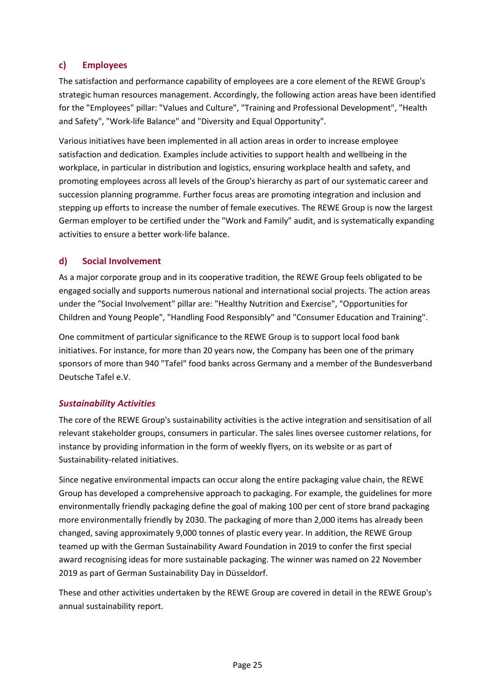#### **c) Employees**

The satisfaction and performance capability of employees are a core element of the REWE Group's strategic human resources management. Accordingly, the following action areas have been identified for the "Employees" pillar: "Values and Culture", "Training and Professional Development", "Health and Safety", "Work-life Balance" and "Diversity and Equal Opportunity".

Various initiatives have been implemented in all action areas in order to increase employee satisfaction and dedication. Examples include activities to support health and wellbeing in the workplace, in particular in distribution and logistics, ensuring workplace health and safety, and promoting employees across all levels of the Group's hierarchy as part of our systematic career and succession planning programme. Further focus areas are promoting integration and inclusion and stepping up efforts to increase the number of female executives. The REWE Group is now the largest German employer to be certified under the "Work and Family" audit, and is systematically expanding activities to ensure a better work-life balance.

#### **d) Social Involvement**

As a major corporate group and in its cooperative tradition, the REWE Group feels obligated to be engaged socially and supports numerous national and international social projects. The action areas under the "Social Involvement" pillar are: "Healthy Nutrition and Exercise", "Opportunities for Children and Young People", "Handling Food Responsibly" and "Consumer Education and Training".

One commitment of particular significance to the REWE Group is to support local food bank initiatives. For instance, for more than 20 years now, the Company has been one of the primary sponsors of more than 940 "Tafel" food banks across Germany and a member of the Bundesverband Deutsche Tafel e.V.

#### *Sustainability Activities*

The core of the REWE Group's sustainability activities is the active integration and sensitisation of all relevant stakeholder groups, consumers in particular. The sales lines oversee customer relations, for instance by providing information in the form of weekly flyers, on its website or as part of Sustainability-related initiatives.

Since negative environmental impacts can occur along the entire packaging value chain, the REWE Group has developed a comprehensive approach to packaging. For example, the guidelines for more environmentally friendly packaging define the goal of making 100 per cent of store brand packaging more environmentally friendly by 2030. The packaging of more than 2,000 items has already been changed, saving approximately 9,000 tonnes of plastic every year. In addition, the REWE Group teamed up with the German Sustainability Award Foundation in 2019 to confer the first special award recognising ideas for more sustainable packaging. The winner was named on 22 November 2019 as part of German Sustainability Day in Düsseldorf.

These and other activities undertaken by the REWE Group are covered in detail in the REWE Group's annual sustainability report.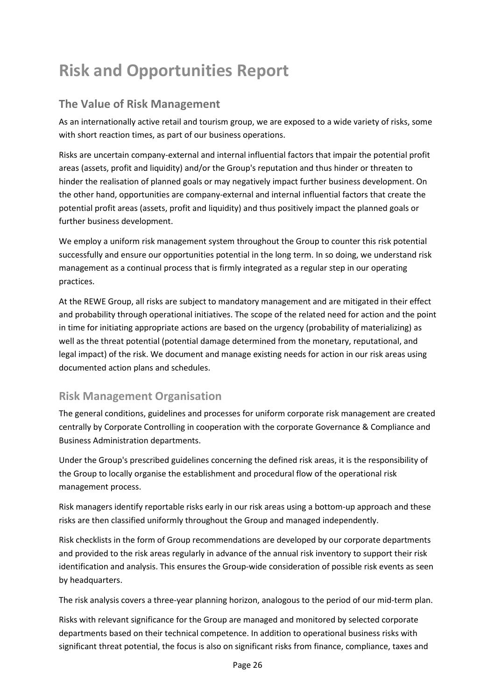# **Risk and Opportunities Report**

# **The Value of Risk Management**

As an internationally active retail and tourism group, we are exposed to a wide variety of risks, some with short reaction times, as part of our business operations.

Risks are uncertain company-external and internal influential factors that impair the potential profit areas (assets, profit and liquidity) and/or the Group's reputation and thus hinder or threaten to hinder the realisation of planned goals or may negatively impact further business development. On the other hand, opportunities are company-external and internal influential factors that create the potential profit areas (assets, profit and liquidity) and thus positively impact the planned goals or further business development.

We employ a uniform risk management system throughout the Group to counter this risk potential successfully and ensure our opportunities potential in the long term. In so doing, we understand risk management as a continual process that is firmly integrated as a regular step in our operating practices.

At the REWE Group, all risks are subject to mandatory management and are mitigated in their effect and probability through operational initiatives. The scope of the related need for action and the point in time for initiating appropriate actions are based on the urgency (probability of materializing) as well as the threat potential (potential damage determined from the monetary, reputational, and legal impact) of the risk. We document and manage existing needs for action in our risk areas using documented action plans and schedules.

# **Risk Management Organisation**

The general conditions, guidelines and processes for uniform corporate risk management are created centrally by Corporate Controlling in cooperation with the corporate Governance & Compliance and Business Administration departments.

Under the Group's prescribed guidelines concerning the defined risk areas, it is the responsibility of the Group to locally organise the establishment and procedural flow of the operational risk management process.

Risk managers identify reportable risks early in our risk areas using a bottom-up approach and these risks are then classified uniformly throughout the Group and managed independently.

Risk checklists in the form of Group recommendations are developed by our corporate departments and provided to the risk areas regularly in advance of the annual risk inventory to support their risk identification and analysis. This ensures the Group-wide consideration of possible risk events as seen by headquarters.

The risk analysis covers a three-year planning horizon, analogous to the period of our mid-term plan.

Risks with relevant significance for the Group are managed and monitored by selected corporate departments based on their technical competence. In addition to operational business risks with significant threat potential, the focus is also on significant risks from finance, compliance, taxes and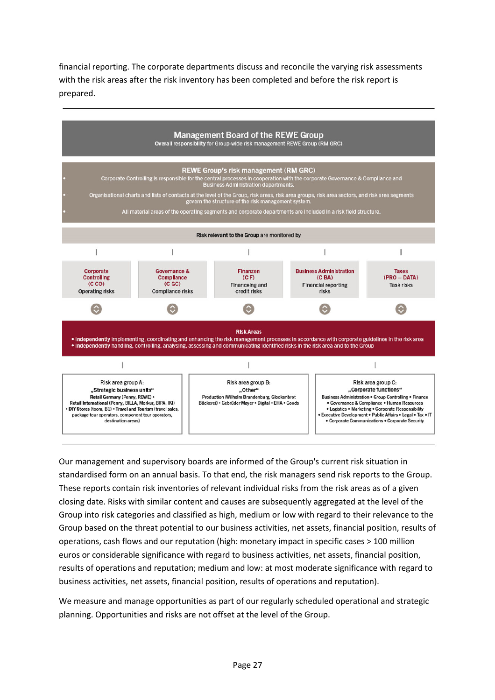financial reporting. The corporate departments discuss and reconcile the varying risk assessments with the risk areas after the risk inventory has been completed and before the risk report is prepared.



Our management and supervisory boards are informed of the Group's current risk situation in standardised form on an annual basis. To that end, the risk managers send risk reports to the Group. These reports contain risk inventories of relevant individual risks from the risk areas as of a given closing date. Risks with similar content and causes are subsequently aggregated at the level of the Group into risk categories and classified as high, medium or low with regard to their relevance to the Group based on the threat potential to our business activities, net assets, financial position, results of operations, cash flows and our reputation (high: monetary impact in specific cases > 100 million euros or considerable significance with regard to business activities, net assets, financial position, results of operations and reputation; medium and low: at most moderate significance with regard to business activities, net assets, financial position, results of operations and reputation).

We measure and manage opportunities as part of our regularly scheduled operational and strategic planning. Opportunities and risks are not offset at the level of the Group.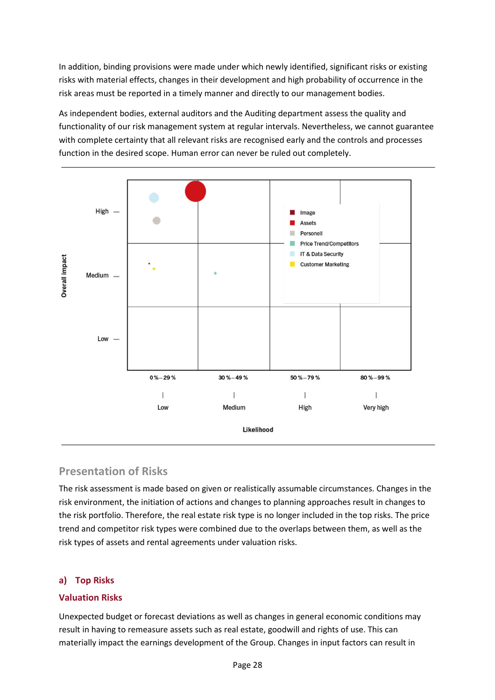In addition, binding provisions were made under which newly identified, significant risks or existing risks with material effects, changes in their development and high probability of occurrence in the risk areas must be reported in a timely manner and directly to our management bodies.

As independent bodies, external auditors and the Auditing department assess the quality and functionality of our risk management system at regular intervals. Nevertheless, we cannot guarantee with complete certainty that all relevant risks are recognised early and the controls and processes function in the desired scope. Human error can never be ruled out completely.



### **Presentation of Risks**

The risk assessment is made based on given or realistically assumable circumstances. Changes in the risk environment, the initiation of actions and changes to planning approaches result in changes to the risk portfolio. Therefore, the real estate risk type is no longer included in the top risks. The price trend and competitor risk types were combined due to the overlaps between them, as well as the risk types of assets and rental agreements under valuation risks.

#### **a) Top Risks**

#### **Valuation Risks**

Unexpected budget or forecast deviations as well as changes in general economic conditions may result in having to remeasure assets such as real estate, goodwill and rights of use. This can materially impact the earnings development of the Group. Changes in input factors can result in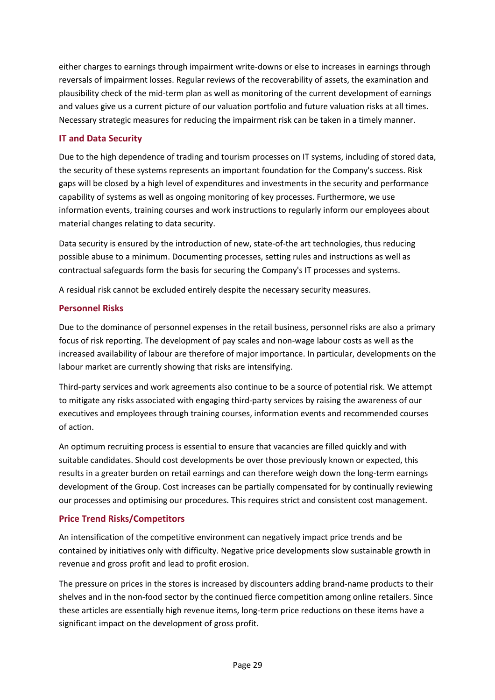either charges to earnings through impairment write-downs or else to increases in earnings through reversals of impairment losses. Regular reviews of the recoverability of assets, the examination and plausibility check of the mid-term plan as well as monitoring of the current development of earnings and values give us a current picture of our valuation portfolio and future valuation risks at all times. Necessary strategic measures for reducing the impairment risk can be taken in a timely manner.

#### **IT and Data Security**

Due to the high dependence of trading and tourism processes on IT systems, including of stored data, the security of these systems represents an important foundation for the Company's success. Risk gaps will be closed by a high level of expenditures and investments in the security and performance capability of systems as well as ongoing monitoring of key processes. Furthermore, we use information events, training courses and work instructions to regularly inform our employees about material changes relating to data security.

Data security is ensured by the introduction of new, state-of-the art technologies, thus reducing possible abuse to a minimum. Documenting processes, setting rules and instructions as well as contractual safeguards form the basis for securing the Company's IT processes and systems.

A residual risk cannot be excluded entirely despite the necessary security measures.

#### **Personnel Risks**

Due to the dominance of personnel expenses in the retail business, personnel risks are also a primary focus of risk reporting. The development of pay scales and non-wage labour costs as well as the increased availability of labour are therefore of major importance. In particular, developments on the labour market are currently showing that risks are intensifying.

Third-party services and work agreements also continue to be a source of potential risk. We attempt to mitigate any risks associated with engaging third-party services by raising the awareness of our executives and employees through training courses, information events and recommended courses of action.

An optimum recruiting process is essential to ensure that vacancies are filled quickly and with suitable candidates. Should cost developments be over those previously known or expected, this results in a greater burden on retail earnings and can therefore weigh down the long-term earnings development of the Group. Cost increases can be partially compensated for by continually reviewing our processes and optimising our procedures. This requires strict and consistent cost management.

#### **Price Trend Risks/Competitors**

An intensification of the competitive environment can negatively impact price trends and be contained by initiatives only with difficulty. Negative price developments slow sustainable growth in revenue and gross profit and lead to profit erosion.

The pressure on prices in the stores is increased by discounters adding brand-name products to their shelves and in the non-food sector by the continued fierce competition among online retailers. Since these articles are essentially high revenue items, long-term price reductions on these items have a significant impact on the development of gross profit.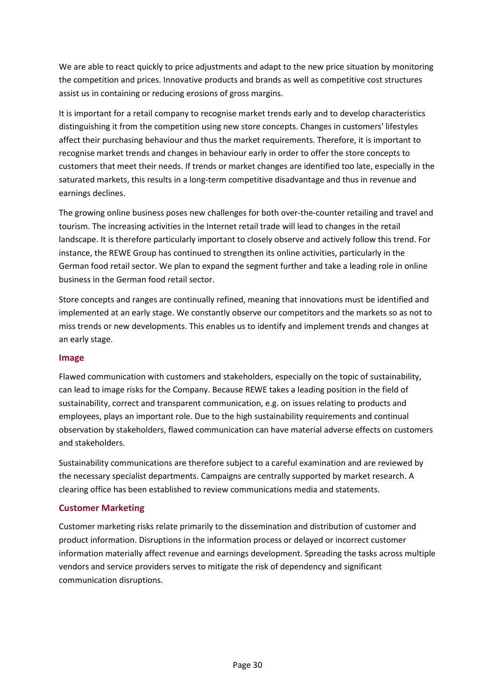We are able to react quickly to price adjustments and adapt to the new price situation by monitoring the competition and prices. Innovative products and brands as well as competitive cost structures assist us in containing or reducing erosions of gross margins.

It is important for a retail company to recognise market trends early and to develop characteristics distinguishing it from the competition using new store concepts. Changes in customers' lifestyles affect their purchasing behaviour and thus the market requirements. Therefore, it is important to recognise market trends and changes in behaviour early in order to offer the store concepts to customers that meet their needs. If trends or market changes are identified too late, especially in the saturated markets, this results in a long-term competitive disadvantage and thus in revenue and earnings declines.

The growing online business poses new challenges for both over-the-counter retailing and travel and tourism. The increasing activities in the Internet retail trade will lead to changes in the retail landscape. It is therefore particularly important to closely observe and actively follow this trend. For instance, the REWE Group has continued to strengthen its online activities, particularly in the German food retail sector. We plan to expand the segment further and take a leading role in online business in the German food retail sector.

Store concepts and ranges are continually refined, meaning that innovations must be identified and implemented at an early stage. We constantly observe our competitors and the markets so as not to miss trends or new developments. This enables us to identify and implement trends and changes at an early stage.

#### **Image**

Flawed communication with customers and stakeholders, especially on the topic of sustainability, can lead to image risks for the Company. Because REWE takes a leading position in the field of sustainability, correct and transparent communication, e.g. on issues relating to products and employees, plays an important role. Due to the high sustainability requirements and continual observation by stakeholders, flawed communication can have material adverse effects on customers and stakeholders.

Sustainability communications are therefore subject to a careful examination and are reviewed by the necessary specialist departments. Campaigns are centrally supported by market research. A clearing office has been established to review communications media and statements.

#### **Customer Marketing**

Customer marketing risks relate primarily to the dissemination and distribution of customer and product information. Disruptions in the information process or delayed or incorrect customer information materially affect revenue and earnings development. Spreading the tasks across multiple vendors and service providers serves to mitigate the risk of dependency and significant communication disruptions.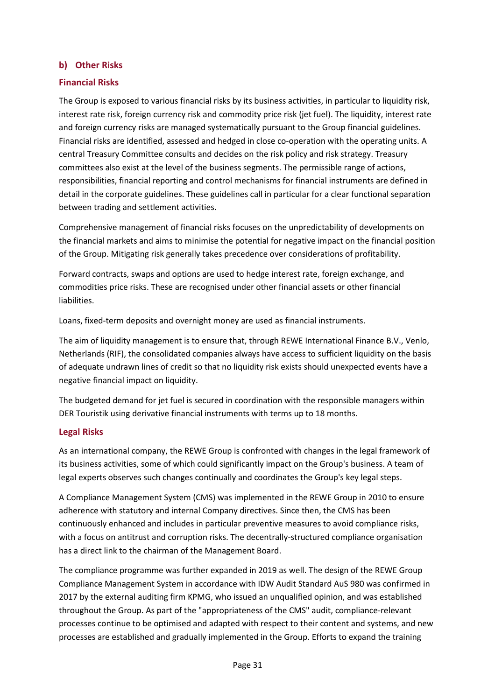#### **b) Other Risks**

#### **Financial Risks**

The Group is exposed to various financial risks by its business activities, in particular to liquidity risk, interest rate risk, foreign currency risk and commodity price risk (jet fuel). The liquidity, interest rate and foreign currency risks are managed systematically pursuant to the Group financial guidelines. Financial risks are identified, assessed and hedged in close co-operation with the operating units. A central Treasury Committee consults and decides on the risk policy and risk strategy. Treasury committees also exist at the level of the business segments. The permissible range of actions, responsibilities, financial reporting and control mechanisms for financial instruments are defined in detail in the corporate guidelines. These guidelines call in particular for a clear functional separation between trading and settlement activities.

Comprehensive management of financial risks focuses on the unpredictability of developments on the financial markets and aims to minimise the potential for negative impact on the financial position of the Group. Mitigating risk generally takes precedence over considerations of profitability.

Forward contracts, swaps and options are used to hedge interest rate, foreign exchange, and commodities price risks. These are recognised under other financial assets or other financial liabilities.

Loans, fixed-term deposits and overnight money are used as financial instruments.

The aim of liquidity management is to ensure that, through REWE International Finance B.V., Venlo, Netherlands (RIF), the consolidated companies always have access to sufficient liquidity on the basis of adequate undrawn lines of credit so that no liquidity risk exists should unexpected events have a negative financial impact on liquidity.

The budgeted demand for jet fuel is secured in coordination with the responsible managers within DER Touristik using derivative financial instruments with terms up to 18 months.

#### **Legal Risks**

As an international company, the REWE Group is confronted with changes in the legal framework of its business activities, some of which could significantly impact on the Group's business. A team of legal experts observes such changes continually and coordinates the Group's key legal steps.

A Compliance Management System (CMS) was implemented in the REWE Group in 2010 to ensure adherence with statutory and internal Company directives. Since then, the CMS has been continuously enhanced and includes in particular preventive measures to avoid compliance risks, with a focus on antitrust and corruption risks. The decentrally-structured compliance organisation has a direct link to the chairman of the Management Board.

The compliance programme was further expanded in 2019 as well. The design of the REWE Group Compliance Management System in accordance with IDW Audit Standard AuS 980 was confirmed in 2017 by the external auditing firm KPMG, who issued an unqualified opinion, and was established throughout the Group. As part of the "appropriateness of the CMS" audit, compliance-relevant processes continue to be optimised and adapted with respect to their content and systems, and new processes are established and gradually implemented in the Group. Efforts to expand the training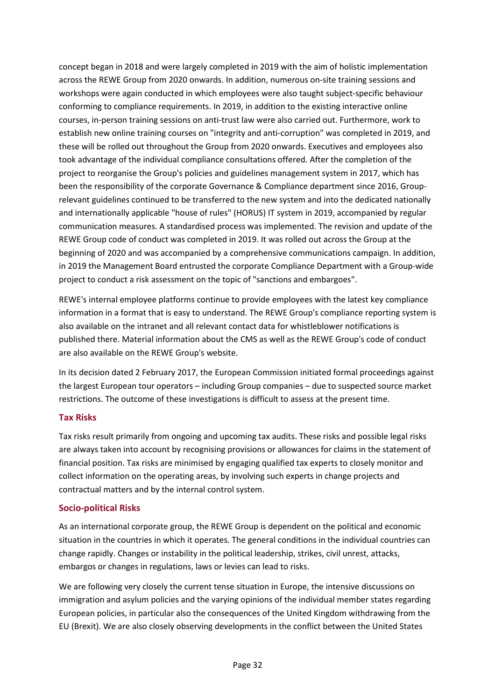concept began in 2018 and were largely completed in 2019 with the aim of holistic implementation across the REWE Group from 2020 onwards. In addition, numerous on-site training sessions and workshops were again conducted in which employees were also taught subject-specific behaviour conforming to compliance requirements. In 2019, in addition to the existing interactive online courses, in-person training sessions on anti-trust law were also carried out. Furthermore, work to establish new online training courses on "integrity and anti-corruption" was completed in 2019, and these will be rolled out throughout the Group from 2020 onwards. Executives and employees also took advantage of the individual compliance consultations offered. After the completion of the project to reorganise the Group's policies and guidelines management system in 2017, which has been the responsibility of the corporate Governance & Compliance department since 2016, Grouprelevant guidelines continued to be transferred to the new system and into the dedicated nationally and internationally applicable "house of rules" (HORUS) IT system in 2019, accompanied by regular communication measures. A standardised process was implemented. The revision and update of the REWE Group code of conduct was completed in 2019. It was rolled out across the Group at the beginning of 2020 and was accompanied by a comprehensive communications campaign. In addition, in 2019 the Management Board entrusted the corporate Compliance Department with a Group-wide project to conduct a risk assessment on the topic of "sanctions and embargoes".

REWE's internal employee platforms continue to provide employees with the latest key compliance information in a format that is easy to understand. The REWE Group's compliance reporting system is also available on the intranet and all relevant contact data for whistleblower notifications is published there. Material information about the CMS as well as the REWE Group's code of conduct are also available on the REWE Group's website.

In its decision dated 2 February 2017, the European Commission initiated formal proceedings against the largest European tour operators – including Group companies – due to suspected source market restrictions. The outcome of these investigations is difficult to assess at the present time.

#### **Tax Risks**

Tax risks result primarily from ongoing and upcoming tax audits. These risks and possible legal risks are always taken into account by recognising provisions or allowances for claims in the statement of financial position. Tax risks are minimised by engaging qualified tax experts to closely monitor and collect information on the operating areas, by involving such experts in change projects and contractual matters and by the internal control system.

#### **Socio-political Risks**

As an international corporate group, the REWE Group is dependent on the political and economic situation in the countries in which it operates. The general conditions in the individual countries can change rapidly. Changes or instability in the political leadership, strikes, civil unrest, attacks, embargos or changes in regulations, laws or levies can lead to risks.

We are following very closely the current tense situation in Europe, the intensive discussions on immigration and asylum policies and the varying opinions of the individual member states regarding European policies, in particular also the consequences of the United Kingdom withdrawing from the EU (Brexit). We are also closely observing developments in the conflict between the United States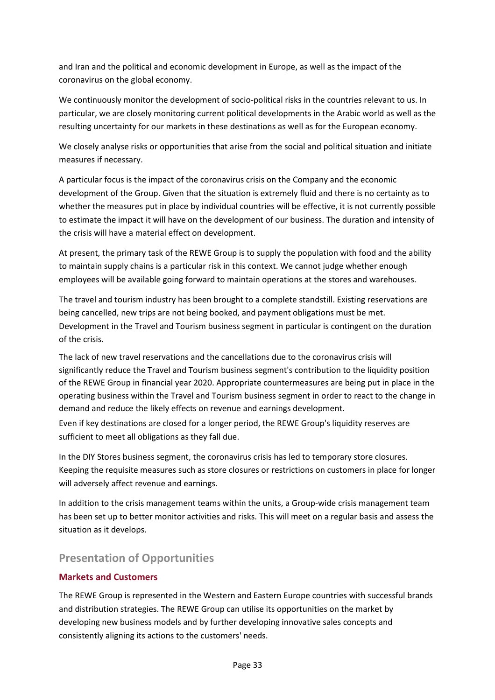and Iran and the political and economic development in Europe, as well as the impact of the coronavirus on the global economy.

We continuously monitor the development of socio-political risks in the countries relevant to us. In particular, we are closely monitoring current political developments in the Arabic world as well as the resulting uncertainty for our markets in these destinations as well as for the European economy.

We closely analyse risks or opportunities that arise from the social and political situation and initiate measures if necessary.

A particular focus is the impact of the coronavirus crisis on the Company and the economic development of the Group. Given that the situation is extremely fluid and there is no certainty as to whether the measures put in place by individual countries will be effective, it is not currently possible to estimate the impact it will have on the development of our business. The duration and intensity of the crisis will have a material effect on development.

At present, the primary task of the REWE Group is to supply the population with food and the ability to maintain supply chains is a particular risk in this context. We cannot judge whether enough employees will be available going forward to maintain operations at the stores and warehouses.

The travel and tourism industry has been brought to a complete standstill. Existing reservations are being cancelled, new trips are not being booked, and payment obligations must be met. Development in the Travel and Tourism business segment in particular is contingent on the duration of the crisis.

The lack of new travel reservations and the cancellations due to the coronavirus crisis will significantly reduce the Travel and Tourism business segment's contribution to the liquidity position of the REWE Group in financial year 2020. Appropriate countermeasures are being put in place in the operating business within the Travel and Tourism business segment in order to react to the change in demand and reduce the likely effects on revenue and earnings development.

Even if key destinations are closed for a longer period, the REWE Group's liquidity reserves are sufficient to meet all obligations as they fall due.

In the DIY Stores business segment, the coronavirus crisis has led to temporary store closures. Keeping the requisite measures such as store closures or restrictions on customers in place for longer will adversely affect revenue and earnings.

In addition to the crisis management teams within the units, a Group-wide crisis management team has been set up to better monitor activities and risks. This will meet on a regular basis and assess the situation as it develops.

# **Presentation of Opportunities**

#### **Markets and Customers**

The REWE Group is represented in the Western and Eastern Europe countries with successful brands and distribution strategies. The REWE Group can utilise its opportunities on the market by developing new business models and by further developing innovative sales concepts and consistently aligning its actions to the customers' needs.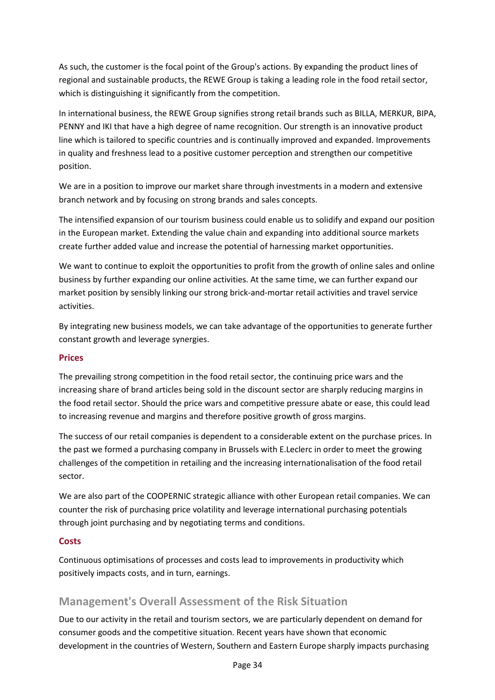As such, the customer is the focal point of the Group's actions. By expanding the product lines of regional and sustainable products, the REWE Group is taking a leading role in the food retail sector, which is distinguishing it significantly from the competition.

In international business, the REWE Group signifies strong retail brands such as BILLA, MERKUR, BIPA, PENNY and IKI that have a high degree of name recognition. Our strength is an innovative product line which is tailored to specific countries and is continually improved and expanded. Improvements in quality and freshness lead to a positive customer perception and strengthen our competitive position.

We are in a position to improve our market share through investments in a modern and extensive branch network and by focusing on strong brands and sales concepts.

The intensified expansion of our tourism business could enable us to solidify and expand our position in the European market. Extending the value chain and expanding into additional source markets create further added value and increase the potential of harnessing market opportunities.

We want to continue to exploit the opportunities to profit from the growth of online sales and online business by further expanding our online activities. At the same time, we can further expand our market position by sensibly linking our strong brick-and-mortar retail activities and travel service activities.

By integrating new business models, we can take advantage of the opportunities to generate further constant growth and leverage synergies.

#### **Prices**

The prevailing strong competition in the food retail sector, the continuing price wars and the increasing share of brand articles being sold in the discount sector are sharply reducing margins in the food retail sector. Should the price wars and competitive pressure abate or ease, this could lead to increasing revenue and margins and therefore positive growth of gross margins.

The success of our retail companies is dependent to a considerable extent on the purchase prices. In the past we formed a purchasing company in Brussels with E.Leclerc in order to meet the growing challenges of the competition in retailing and the increasing internationalisation of the food retail sector.

We are also part of the COOPERNIC strategic alliance with other European retail companies. We can counter the risk of purchasing price volatility and leverage international purchasing potentials through joint purchasing and by negotiating terms and conditions.

#### **Costs**

Continuous optimisations of processes and costs lead to improvements in productivity which positively impacts costs, and in turn, earnings.

# **Management's Overall Assessment of the Risk Situation**

Due to our activity in the retail and tourism sectors, we are particularly dependent on demand for consumer goods and the competitive situation. Recent years have shown that economic development in the countries of Western, Southern and Eastern Europe sharply impacts purchasing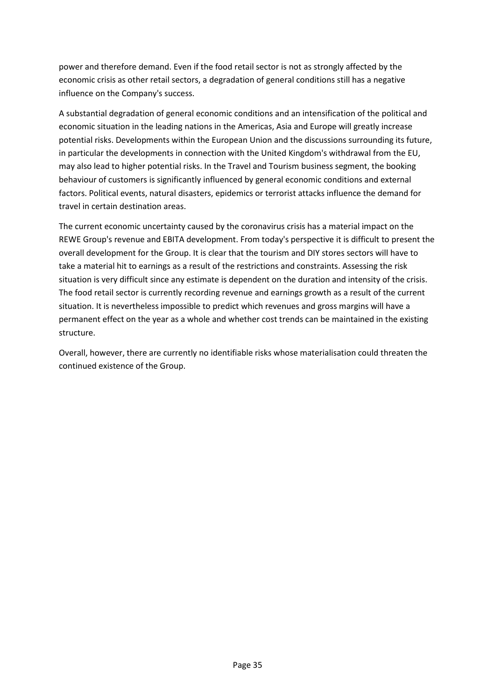power and therefore demand. Even if the food retail sector is not as strongly affected by the economic crisis as other retail sectors, a degradation of general conditions still has a negative influence on the Company's success.

A substantial degradation of general economic conditions and an intensification of the political and economic situation in the leading nations in the Americas, Asia and Europe will greatly increase potential risks. Developments within the European Union and the discussions surrounding its future, in particular the developments in connection with the United Kingdom's withdrawal from the EU, may also lead to higher potential risks. In the Travel and Tourism business segment, the booking behaviour of customers is significantly influenced by general economic conditions and external factors. Political events, natural disasters, epidemics or terrorist attacks influence the demand for travel in certain destination areas.

The current economic uncertainty caused by the coronavirus crisis has a material impact on the REWE Group's revenue and EBITA development. From today's perspective it is difficult to present the overall development for the Group. It is clear that the tourism and DIY stores sectors will have to take a material hit to earnings as a result of the restrictions and constraints. Assessing the risk situation is very difficult since any estimate is dependent on the duration and intensity of the crisis. The food retail sector is currently recording revenue and earnings growth as a result of the current situation. It is nevertheless impossible to predict which revenues and gross margins will have a permanent effect on the year as a whole and whether cost trends can be maintained in the existing structure.

Overall, however, there are currently no identifiable risks whose materialisation could threaten the continued existence of the Group.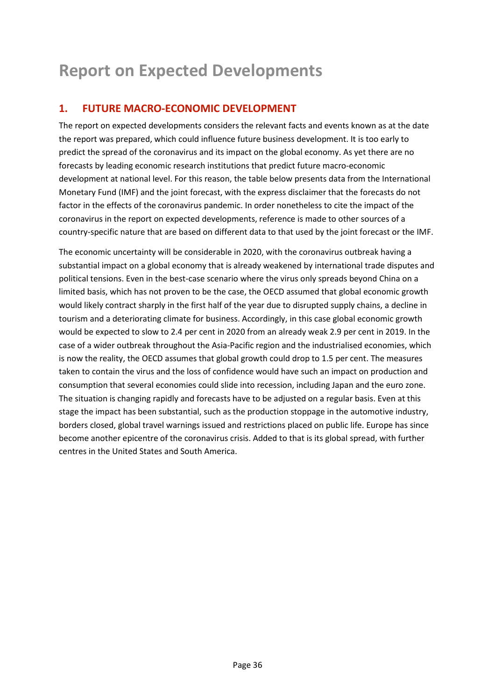# **Report on Expected Developments**

# **1. FUTURE MACRO-ECONOMIC DEVELOPMENT**

The report on expected developments considers the relevant facts and events known as at the date the report was prepared, which could influence future business development. It is too early to predict the spread of the coronavirus and its impact on the global economy. As yet there are no forecasts by leading economic research institutions that predict future macro-economic development at national level. For this reason, the table below presents data from the International Monetary Fund (IMF) and the joint forecast, with the express disclaimer that the forecasts do not factor in the effects of the coronavirus pandemic. In order nonetheless to cite the impact of the coronavirus in the report on expected developments, reference is made to other sources of a country-specific nature that are based on different data to that used by the joint forecast or the IMF.

The economic uncertainty will be considerable in 2020, with the coronavirus outbreak having a substantial impact on a global economy that is already weakened by international trade disputes and political tensions. Even in the best-case scenario where the virus only spreads beyond China on a limited basis, which has not proven to be the case, the OECD assumed that global economic growth would likely contract sharply in the first half of the year due to disrupted supply chains, a decline in tourism and a deteriorating climate for business. Accordingly, in this case global economic growth would be expected to slow to 2.4 per cent in 2020 from an already weak 2.9 per cent in 2019. In the case of a wider outbreak throughout the Asia-Pacific region and the industrialised economies, which is now the reality, the OECD assumes that global growth could drop to 1.5 per cent. The measures taken to contain the virus and the loss of confidence would have such an impact on production and consumption that several economies could slide into recession, including Japan and the euro zone. The situation is changing rapidly and forecasts have to be adjusted on a regular basis. Even at this stage the impact has been substantial, such as the production stoppage in the automotive industry, borders closed, global travel warnings issued and restrictions placed on public life. Europe has since become another epicentre of the coronavirus crisis. Added to that is its global spread, with further centres in the United States and South America.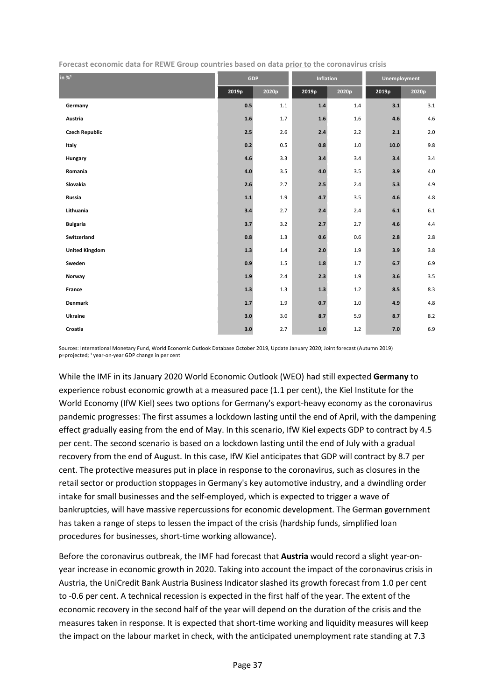| in $\%^1$             | <b>GDP</b> |         | Inflation |       | Unemployment       |       |  |
|-----------------------|------------|---------|-----------|-------|--------------------|-------|--|
|                       | 2019p      | 2020p   | 2019p     | 2020p | 2019p              | 2020p |  |
| Germany               | 0.5        | $1.1\,$ | 1.4       | 1.4   | 3.1                | 3.1   |  |
| Austria               | $1.6\,$    | 1.7     | $1.6\,$   | 1.6   | 4.6                | 4.6   |  |
| <b>Czech Republic</b> | 2.5        | 2.6     | 2.4       | 2.2   | $2.1$              | $2.0$ |  |
| Italy                 | 0.2        | 0.5     | 0.8       | 1.0   | 10.0               | 9.8   |  |
| Hungary               | 4.6        | 3.3     | 3.4       | 3.4   | 3.4                | 3.4   |  |
| Romania               | 4.0        | 3.5     | 4.0       | 3.5   | 3.9                | 4.0   |  |
| Slovakia              | 2.6        | 2.7     | 2.5       | 2.4   | 5.3                | 4.9   |  |
| Russia                | 1.1        | 1.9     | 4.7       | 3.5   | 4.6                | 4.8   |  |
| Lithuania             | 3.4        | 2.7     | 2.4       | 2.4   | $\boldsymbol{6.1}$ | 6.1   |  |
| <b>Bulgaria</b>       | 3.7        | 3.2     | 2.7       | 2.7   | 4.6                | 4.4   |  |
| Switzerland           | 0.8        | 1.3     | 0.6       | 0.6   | 2.8                | 2.8   |  |
| <b>United Kingdom</b> | 1.3        | 1.4     | 2.0       | 1.9   | 3.9                | 3.8   |  |
| Sweden                | 0.9        | $1.5\,$ | $1.8\,$   | 1.7   | $6.7\,$            | 6.9   |  |
| Norway                | 1.9        | 2.4     | 2.3       | 1.9   | 3.6                | 3.5   |  |
| France                | 1.3        | 1.3     | 1.3       | $1.2$ | 8.5                | 8.3   |  |
| <b>Denmark</b>        | $1.7$      | 1.9     | 0.7       | 1.0   | 4.9                | 4.8   |  |
| Ukraine               | 3.0        | 3.0     | 8.7       | 5.9   | 8.7                | 8.2   |  |
| Croatia               | 3.0        | 2.7     | $1.0\,$   | 1.2   | $7.0$              | 6.9   |  |

**Forecast economic data for REWE Group countries based on data prior to the coronavirus crisis** 

Sources: International Monetary Fund, World Economic Outlook Database October 2019, Update January 2020; Joint forecast (Autumn 2019) p=projected; <sup>1</sup> year-on-year GDP change in per cent

While the IMF in its January 2020 World Economic Outlook (WEO) had still expected **Germany** to experience robust economic growth at a measured pace (1.1 per cent), the Kiel Institute for the World Economy (IfW Kiel) sees two options for Germany's export-heavy economy as the coronavirus pandemic progresses: The first assumes a lockdown lasting until the end of April, with the dampening effect gradually easing from the end of May. In this scenario, IfW Kiel expects GDP to contract by 4.5 per cent. The second scenario is based on a lockdown lasting until the end of July with a gradual recovery from the end of August. In this case, IfW Kiel anticipates that GDP will contract by 8.7 per cent. The protective measures put in place in response to the coronavirus, such as closures in the retail sector or production stoppages in Germany's key automotive industry, and a dwindling order intake for small businesses and the self-employed, which is expected to trigger a wave of bankruptcies, will have massive repercussions for economic development. The German government has taken a range of steps to lessen the impact of the crisis (hardship funds, simplified loan procedures for businesses, short-time working allowance).

Before the coronavirus outbreak, the IMF had forecast that **Austria** would record a slight year-onyear increase in economic growth in 2020. Taking into account the impact of the coronavirus crisis in Austria, the UniCredit Bank Austria Business Indicator slashed its growth forecast from 1.0 per cent to -0.6 per cent. A technical recession is expected in the first half of the year. The extent of the economic recovery in the second half of the year will depend on the duration of the crisis and the measures taken in response. It is expected that short-time working and liquidity measures will keep the impact on the labour market in check, with the anticipated unemployment rate standing at 7.3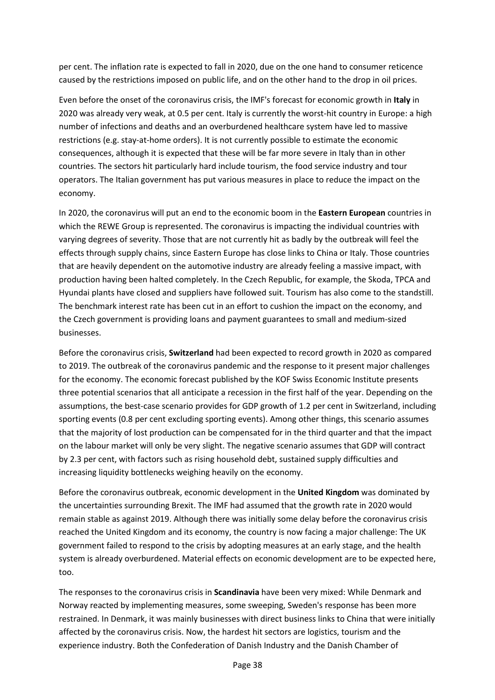per cent. The inflation rate is expected to fall in 2020, due on the one hand to consumer reticence caused by the restrictions imposed on public life, and on the other hand to the drop in oil prices.

Even before the onset of the coronavirus crisis, the IMF's forecast for economic growth in **Italy** in 2020 was already very weak, at 0.5 per cent. Italy is currently the worst-hit country in Europe: a high number of infections and deaths and an overburdened healthcare system have led to massive restrictions (e.g. stay-at-home orders). It is not currently possible to estimate the economic consequences, although it is expected that these will be far more severe in Italy than in other countries. The sectors hit particularly hard include tourism, the food service industry and tour operators. The Italian government has put various measures in place to reduce the impact on the economy.

In 2020, the coronavirus will put an end to the economic boom in the **Eastern European** countries in which the REWE Group is represented. The coronavirus is impacting the individual countries with varying degrees of severity. Those that are not currently hit as badly by the outbreak will feel the effects through supply chains, since Eastern Europe has close links to China or Italy. Those countries that are heavily dependent on the automotive industry are already feeling a massive impact, with production having been halted completely. In the Czech Republic, for example, the Skoda, TPCA and Hyundai plants have closed and suppliers have followed suit. Tourism has also come to the standstill. The benchmark interest rate has been cut in an effort to cushion the impact on the economy, and the Czech government is providing loans and payment guarantees to small and medium-sized businesses.

Before the coronavirus crisis, **Switzerland** had been expected to record growth in 2020 as compared to 2019. The outbreak of the coronavirus pandemic and the response to it present major challenges for the economy. The economic forecast published by the KOF Swiss Economic Institute presents three potential scenarios that all anticipate a recession in the first half of the year. Depending on the assumptions, the best-case scenario provides for GDP growth of 1.2 per cent in Switzerland, including sporting events (0.8 per cent excluding sporting events). Among other things, this scenario assumes that the majority of lost production can be compensated for in the third quarter and that the impact on the labour market will only be very slight. The negative scenario assumes that GDP will contract by 2.3 per cent, with factors such as rising household debt, sustained supply difficulties and increasing liquidity bottlenecks weighing heavily on the economy.

Before the coronavirus outbreak, economic development in the **United Kingdom** was dominated by the uncertainties surrounding Brexit. The IMF had assumed that the growth rate in 2020 would remain stable as against 2019. Although there was initially some delay before the coronavirus crisis reached the United Kingdom and its economy, the country is now facing a major challenge: The UK government failed to respond to the crisis by adopting measures at an early stage, and the health system is already overburdened. Material effects on economic development are to be expected here, too.

The responses to the coronavirus crisis in **Scandinavia** have been very mixed: While Denmark and Norway reacted by implementing measures, some sweeping, Sweden's response has been more restrained. In Denmark, it was mainly businesses with direct business links to China that were initially affected by the coronavirus crisis. Now, the hardest hit sectors are logistics, tourism and the experience industry. Both the Confederation of Danish Industry and the Danish Chamber of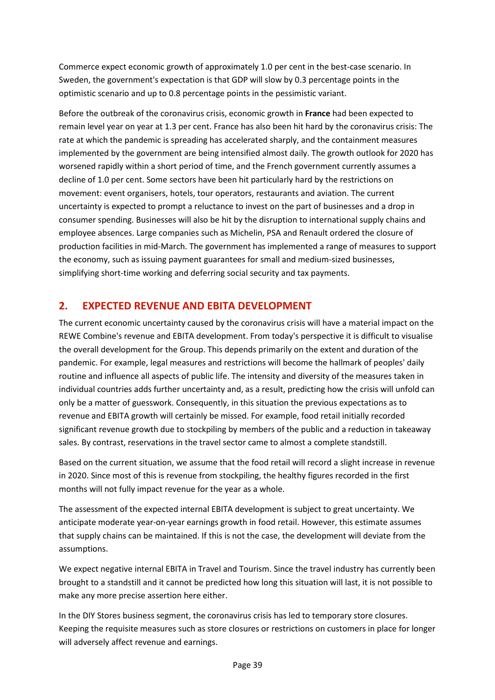Commerce expect economic growth of approximately 1.0 per cent in the best-case scenario. In Sweden, the government's expectation is that GDP will slow by 0.3 percentage points in the optimistic scenario and up to 0.8 percentage points in the pessimistic variant.

Before the outbreak of the coronavirus crisis, economic growth in **France** had been expected to remain level year on year at 1.3 per cent. France has also been hit hard by the coronavirus crisis: The rate at which the pandemic is spreading has accelerated sharply, and the containment measures implemented by the government are being intensified almost daily. The growth outlook for 2020 has worsened rapidly within a short period of time, and the French government currently assumes a decline of 1.0 per cent. Some sectors have been hit particularly hard by the restrictions on movement: event organisers, hotels, tour operators, restaurants and aviation. The current uncertainty is expected to prompt a reluctance to invest on the part of businesses and a drop in consumer spending. Businesses will also be hit by the disruption to international supply chains and employee absences. Large companies such as Michelin, PSA and Renault ordered the closure of production facilities in mid-March. The government has implemented a range of measures to support the economy, such as issuing payment guarantees for small and medium-sized businesses, simplifying short-time working and deferring social security and tax payments.

### **2. EXPECTED REVENUE AND EBITA DEVELOPMENT**

The current economic uncertainty caused by the coronavirus crisis will have a material impact on the REWE Combine's revenue and EBITA development. From today's perspective it is difficult to visualise the overall development for the Group. This depends primarily on the extent and duration of the pandemic. For example, legal measures and restrictions will become the hallmark of peoples' daily routine and influence all aspects of public life. The intensity and diversity of the measures taken in individual countries adds further uncertainty and, as a result, predicting how the crisis will unfold can only be a matter of guesswork. Consequently, in this situation the previous expectations as to revenue and EBITA growth will certainly be missed. For example, food retail initially recorded significant revenue growth due to stockpiling by members of the public and a reduction in takeaway sales. By contrast, reservations in the travel sector came to almost a complete standstill.

Based on the current situation, we assume that the food retail will record a slight increase in revenue in 2020. Since most of this is revenue from stockpiling, the healthy figures recorded in the first months will not fully impact revenue for the year as a whole.

The assessment of the expected internal EBITA development is subject to great uncertainty. We anticipate moderate year-on-year earnings growth in food retail. However, this estimate assumes that supply chains can be maintained. If this is not the case, the development will deviate from the assumptions.

We expect negative internal EBITA in Travel and Tourism. Since the travel industry has currently been brought to a standstill and it cannot be predicted how long this situation will last, it is not possible to make any more precise assertion here either.

In the DIY Stores business segment, the coronavirus crisis has led to temporary store closures. Keeping the requisite measures such as store closures or restrictions on customers in place for longer will adversely affect revenue and earnings.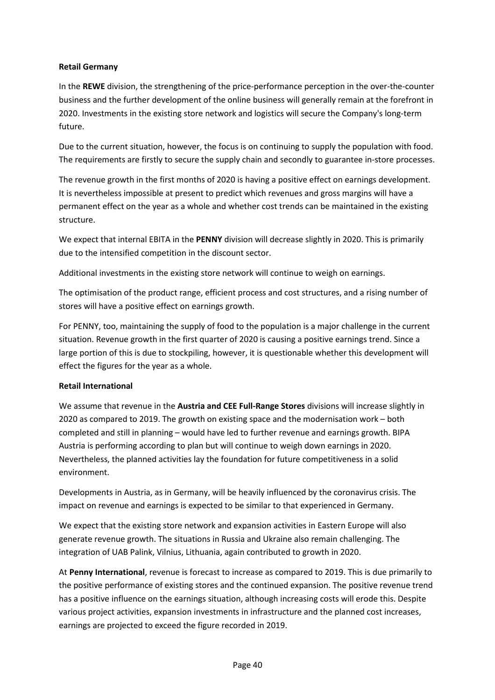#### **Retail Germany**

In the **REWE** division, the strengthening of the price-performance perception in the over-the-counter business and the further development of the online business will generally remain at the forefront in 2020. Investments in the existing store network and logistics will secure the Company's long-term future.

Due to the current situation, however, the focus is on continuing to supply the population with food. The requirements are firstly to secure the supply chain and secondly to guarantee in-store processes.

The revenue growth in the first months of 2020 is having a positive effect on earnings development. It is nevertheless impossible at present to predict which revenues and gross margins will have a permanent effect on the year as a whole and whether cost trends can be maintained in the existing structure.

We expect that internal EBITA in the **PENNY** division will decrease slightly in 2020. This is primarily due to the intensified competition in the discount sector.

Additional investments in the existing store network will continue to weigh on earnings.

The optimisation of the product range, efficient process and cost structures, and a rising number of stores will have a positive effect on earnings growth.

For PENNY, too, maintaining the supply of food to the population is a major challenge in the current situation. Revenue growth in the first quarter of 2020 is causing a positive earnings trend. Since a large portion of this is due to stockpiling, however, it is questionable whether this development will effect the figures for the year as a whole.

#### **Retail International**

We assume that revenue in the **Austria and CEE Full-Range Stores** divisions will increase slightly in 2020 as compared to 2019. The growth on existing space and the modernisation work – both completed and still in planning – would have led to further revenue and earnings growth. BIPA Austria is performing according to plan but will continue to weigh down earnings in 2020. Nevertheless, the planned activities lay the foundation for future competitiveness in a solid environment.

Developments in Austria, as in Germany, will be heavily influenced by the coronavirus crisis. The impact on revenue and earnings is expected to be similar to that experienced in Germany.

We expect that the existing store network and expansion activities in Eastern Europe will also generate revenue growth. The situations in Russia and Ukraine also remain challenging. The integration of UAB Palink, Vilnius, Lithuania, again contributed to growth in 2020.

At **Penny International**, revenue is forecast to increase as compared to 2019. This is due primarily to the positive performance of existing stores and the continued expansion. The positive revenue trend has a positive influence on the earnings situation, although increasing costs will erode this. Despite various project activities, expansion investments in infrastructure and the planned cost increases, earnings are projected to exceed the figure recorded in 2019.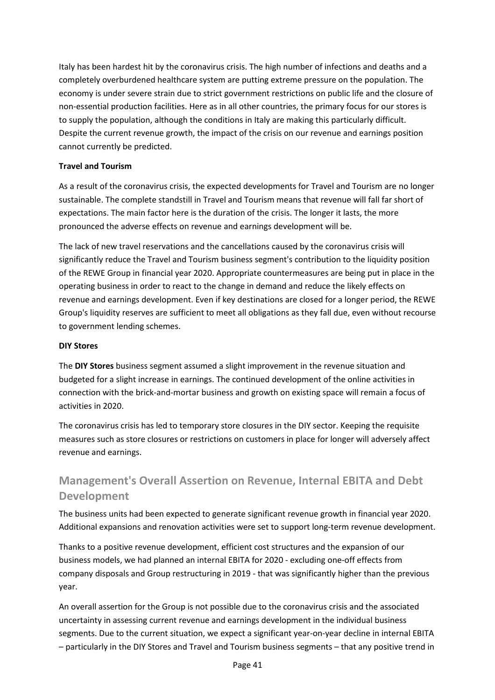Italy has been hardest hit by the coronavirus crisis. The high number of infections and deaths and a completely overburdened healthcare system are putting extreme pressure on the population. The economy is under severe strain due to strict government restrictions on public life and the closure of non-essential production facilities. Here as in all other countries, the primary focus for our stores is to supply the population, although the conditions in Italy are making this particularly difficult. Despite the current revenue growth, the impact of the crisis on our revenue and earnings position cannot currently be predicted.

#### **Travel and Tourism**

As a result of the coronavirus crisis, the expected developments for Travel and Tourism are no longer sustainable. The complete standstill in Travel and Tourism means that revenue will fall far short of expectations. The main factor here is the duration of the crisis. The longer it lasts, the more pronounced the adverse effects on revenue and earnings development will be.

The lack of new travel reservations and the cancellations caused by the coronavirus crisis will significantly reduce the Travel and Tourism business segment's contribution to the liquidity position of the REWE Group in financial year 2020. Appropriate countermeasures are being put in place in the operating business in order to react to the change in demand and reduce the likely effects on revenue and earnings development. Even if key destinations are closed for a longer period, the REWE Group's liquidity reserves are sufficient to meet all obligations as they fall due, even without recourse to government lending schemes.

#### **DIY Stores**

The **DIY Stores** business segment assumed a slight improvement in the revenue situation and budgeted for a slight increase in earnings. The continued development of the online activities in connection with the brick-and-mortar business and growth on existing space will remain a focus of activities in 2020.

The coronavirus crisis has led to temporary store closures in the DIY sector. Keeping the requisite measures such as store closures or restrictions on customers in place for longer will adversely affect revenue and earnings.

# **Management's Overall Assertion on Revenue, Internal EBITA and Debt Development**

The business units had been expected to generate significant revenue growth in financial year 2020. Additional expansions and renovation activities were set to support long-term revenue development.

Thanks to a positive revenue development, efficient cost structures and the expansion of our business models, we had planned an internal EBITA for 2020 - excluding one-off effects from company disposals and Group restructuring in 2019 - that was significantly higher than the previous year.

An overall assertion for the Group is not possible due to the coronavirus crisis and the associated uncertainty in assessing current revenue and earnings development in the individual business segments. Due to the current situation, we expect a significant year-on-year decline in internal EBITA – particularly in the DIY Stores and Travel and Tourism business segments – that any positive trend in